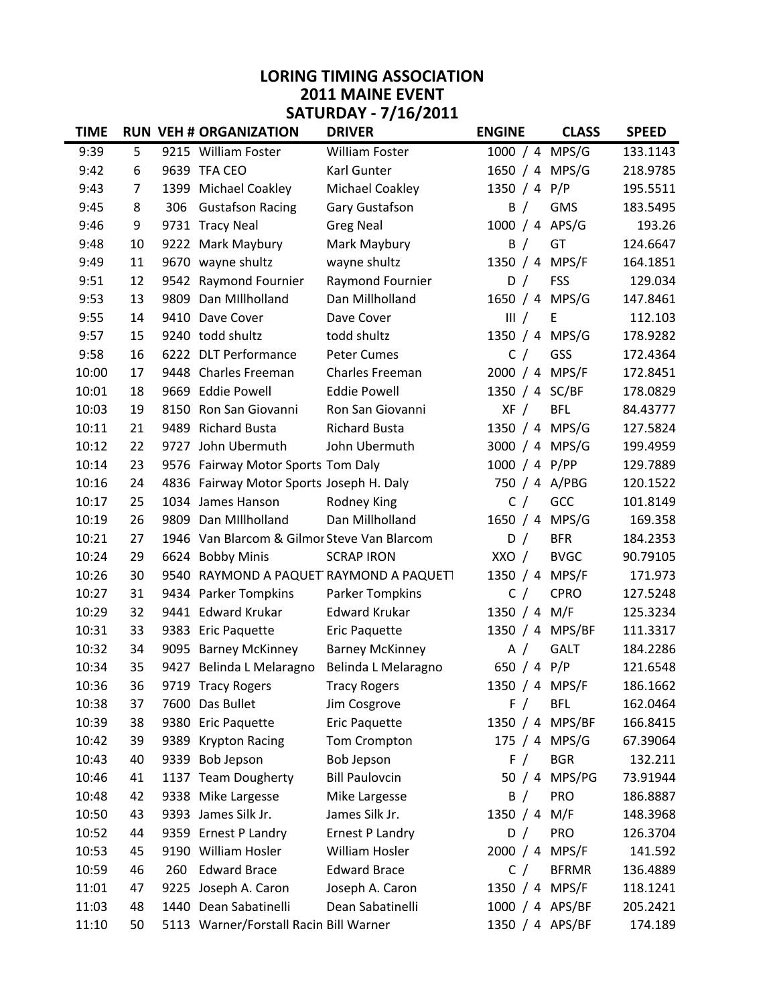## LORING TIMING ASSOCIATION 2011 MAINE EVENT SATURDAY - 7/16/2011

| <b>TIME</b> |    |      | <b>RUN VEH # ORGANIZATION</b>               | <b>DRIVER</b>                     | <b>ENGINE</b>   | <b>CLASS</b>  | <b>SPEED</b> |
|-------------|----|------|---------------------------------------------|-----------------------------------|-----------------|---------------|--------------|
| 9:39        | 5  |      | 9215 William Foster                         | William Foster                    | 1000 / 4 MPS/G  |               | 133.1143     |
| 9:42        | 6  |      | 9639 TFA CEO                                | Karl Gunter                       | 1650 / 4 MPS/G  |               | 218.9785     |
| 9:43        | 7  |      | 1399 Michael Coakley                        | Michael Coakley                   | 1350 / 4 P/P    |               | 195.5511     |
| 9:45        | 8  | 306  | <b>Gustafson Racing</b>                     | Gary Gustafson                    | B /             | <b>GMS</b>    | 183.5495     |
| 9:46        | 9  |      | 9731 Tracy Neal                             | <b>Greg Neal</b>                  | 1000 / 4 APS/G  |               | 193.26       |
| 9:48        | 10 |      | 9222 Mark Maybury                           | Mark Maybury                      | B /             | GT            | 124.6647     |
| 9:49        | 11 |      | 9670 wayne shultz                           | wayne shultz                      | 1350 / 4        | MPS/F         | 164.1851     |
| 9:51        | 12 |      | 9542 Raymond Fournier                       | Raymond Fournier                  | D /             | <b>FSS</b>    | 129.034      |
| 9:53        | 13 |      | 9809 Dan Millholland                        | Dan Millholland                   | 1650 / 4 MPS/G  |               | 147.8461     |
| 9:55        | 14 |      | 9410 Dave Cover                             | Dave Cover                        | III /           | E             | 112.103      |
| 9:57        | 15 |      | 9240 todd shultz                            | todd shultz                       | 1350 / 4 MPS/G  |               | 178.9282     |
| 9:58        | 16 |      | 6222 DLT Performance                        | <b>Peter Cumes</b>                | C /             | GSS           | 172.4364     |
| 10:00       | 17 |      | 9448 Charles Freeman                        | Charles Freeman                   | 2000 / 4 MPS/F  |               | 172.8451     |
| 10:01       | 18 |      | 9669 Eddie Powell                           | <b>Eddie Powell</b>               | 1350 / 4 SC/BF  |               | 178.0829     |
| 10:03       | 19 | 8150 | Ron San Giovanni                            | Ron San Giovanni                  | XF /            | <b>BFL</b>    | 84.43777     |
| 10:11       | 21 | 9489 | <b>Richard Busta</b>                        | <b>Richard Busta</b>              | 1350 / 4 MPS/G  |               | 127.5824     |
| 10:12       | 22 |      | 9727 John Ubermuth                          | John Ubermuth                     | 3000 / 4 MPS/G  |               | 199.4959     |
| 10:14       | 23 |      | 9576 Fairway Motor Sports Tom Daly          |                                   | 1000 / 4 P/PP   |               | 129.7889     |
| 10:16       | 24 |      | 4836 Fairway Motor Sports Joseph H. Daly    |                                   | 750 / 4 A/PBG   |               | 120.1522     |
| 10:17       | 25 |      | 1034 James Hanson                           | Rodney King                       | C /             | GCC           | 101.8149     |
| 10:19       | 26 | 9809 | Dan Millholland                             | Dan Millholland                   | 1650 / 4 MPS/G  |               | 169.358      |
| 10:21       | 27 |      | 1946 Van Blarcom & Gilmor Steve Van Blarcom |                                   | D /             | <b>BFR</b>    | 184.2353     |
| 10:24       | 29 |      | 6624 Bobby Minis                            | <b>SCRAP IRON</b>                 | XXO /           | <b>BVGC</b>   | 90.79105     |
| 10:26       | 30 | 9540 |                                             | RAYMOND A PAQUET RAYMOND A PAQUET | 1350 / 4        | MPS/F         | 171.973      |
| 10:27       | 31 |      | 9434 Parker Tompkins                        | Parker Tompkins                   | C /             | <b>CPRO</b>   | 127.5248     |
| 10:29       | 32 |      | 9441 Edward Krukar                          | <b>Edward Krukar</b>              | 1350 $/4$       | M/F           | 125.3234     |
| 10:31       | 33 | 9383 | <b>Eric Paquette</b>                        | Eric Paquette                     | 1350 / 4 MPS/BF |               | 111.3317     |
| 10:32       | 34 |      | 9095 Barney McKinney                        | <b>Barney McKinney</b>            | A $/$           | <b>GALT</b>   | 184.2286     |
| 10:34       | 35 | 9427 | Belinda L Melaragno                         | Belinda L Melaragno               | 650 / 4 P/P     |               | 121.6548     |
| 10:36       | 36 |      | 9719 Tracy Rogers                           | <b>Tracy Rogers</b>               | 1350 / 4 MPS/F  |               | 186.1662     |
| 10:38       | 37 |      | 7600 Das Bullet                             | Jim Cosgrove                      | F /             | <b>BFL</b>    | 162.0464     |
| 10:39       | 38 |      | 9380 Eric Paquette                          | Eric Paquette                     | 1350 / 4        | MPS/BF        | 166.8415     |
| 10:42       | 39 | 9389 | <b>Krypton Racing</b>                       | Tom Crompton                      | 175 / 4 MPS/G   |               | 67.39064     |
| 10:43       | 40 | 9339 | <b>Bob Jepson</b>                           | <b>Bob Jepson</b>                 | F /             | <b>BGR</b>    | 132.211      |
| 10:46       | 41 |      | 1137 Team Dougherty                         | <b>Bill Paulovcin</b>             |                 | 50 / 4 MPS/PG | 73.91944     |
| 10:48       | 42 |      | 9338 Mike Largesse                          | Mike Largesse                     | B /             | <b>PRO</b>    | 186.8887     |
| 10:50       | 43 | 9393 | James Silk Jr.                              | James Silk Jr.                    | 1350 $/4$       | M/F           | 148.3968     |
| 10:52       | 44 |      | 9359 Ernest P Landry                        | <b>Ernest P Landry</b>            | D /             | <b>PRO</b>    | 126.3704     |
| 10:53       | 45 |      | 9190 William Hosler                         | William Hosler                    | 2000 / 4 MPS/F  |               | 141.592      |
| 10:59       | 46 | 260  | <b>Edward Brace</b>                         | <b>Edward Brace</b>               | C /             | <b>BFRMR</b>  | 136.4889     |
| 11:01       | 47 | 9225 | Joseph A. Caron                             | Joseph A. Caron                   | 1350 / 4 MPS/F  |               | 118.1241     |
| 11:03       | 48 |      | 1440 Dean Sabatinelli                       | Dean Sabatinelli                  | 1000 / 4 APS/BF |               | 205.2421     |
| 11:10       | 50 |      | 5113 Warner/Forstall Racin Bill Warner      |                                   | 1350 / 4 APS/BF |               | 174.189      |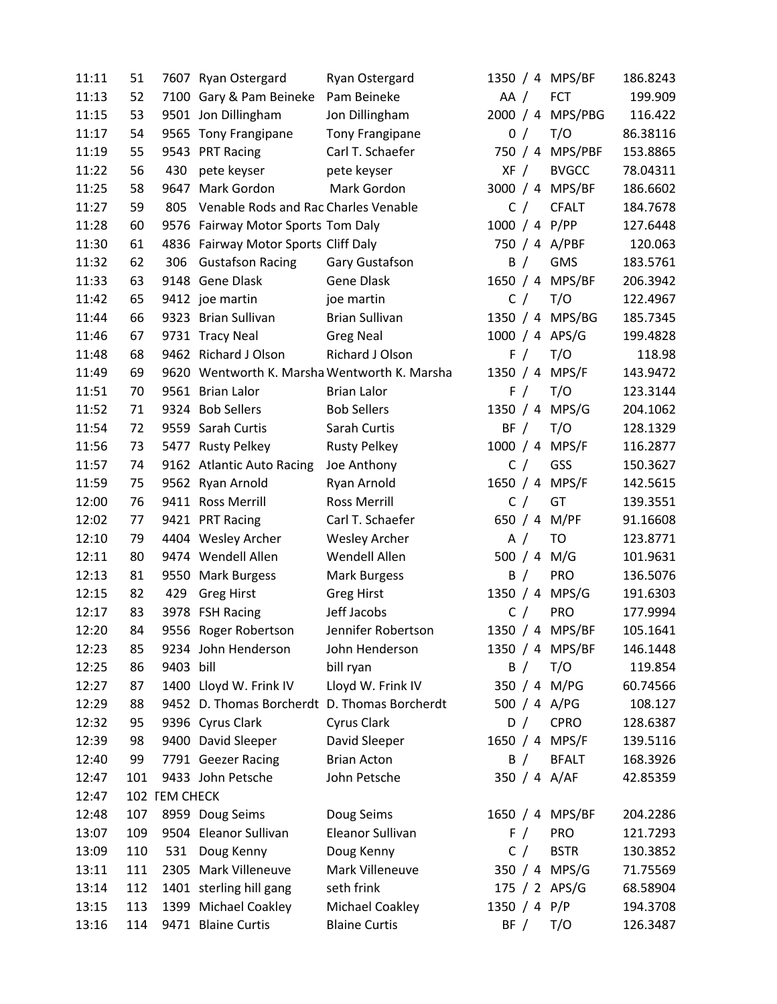| 11:11 | 51  |               | 7607 Ryan Ostergard                          | Ryan Ostergard                               |                | 1350 / 4 MPS/BF  | 186.8243 |
|-------|-----|---------------|----------------------------------------------|----------------------------------------------|----------------|------------------|----------|
| 11:13 | 52  |               | 7100 Gary & Pam Beineke                      | Pam Beineke                                  | AA /           | <b>FCT</b>       | 199.909  |
| 11:15 | 53  |               | 9501 Jon Dillingham                          | Jon Dillingham                               |                | 2000 / 4 MPS/PBG | 116.422  |
| 11:17 | 54  |               | 9565 Tony Frangipane                         | Tony Frangipane                              | 0/             | T/O              | 86.38116 |
| 11:19 | 55  |               | 9543 PRT Racing                              | Carl T. Schaefer                             |                | 750 / 4 MPS/PBF  | 153.8865 |
| 11:22 | 56  | 430           | pete keyser                                  | pete keyser                                  | XF /           | <b>BVGCC</b>     | 78.04311 |
| 11:25 | 58  | 9647          | Mark Gordon                                  | Mark Gordon                                  |                | 3000 / 4 MPS/BF  | 186.6602 |
| 11:27 | 59  | 805           | Venable Rods and Rac Charles Venable         |                                              | C /            | <b>CFALT</b>     | 184.7678 |
| 11:28 | 60  |               | 9576 Fairway Motor Sports Tom Daly           |                                              | 1000 / 4 P/PP  |                  | 127.6448 |
| 11:30 | 61  |               | 4836 Fairway Motor Sports Cliff Daly         |                                              | 750 / 4 A/PBF  |                  | 120.063  |
| 11:32 | 62  | 306           | <b>Gustafson Racing</b>                      | Gary Gustafson                               | B /            | GMS              | 183.5761 |
| 11:33 | 63  |               | 9148 Gene Dlask                              | <b>Gene Dlask</b>                            |                | 1650 / 4 MPS/BF  | 206.3942 |
| 11:42 | 65  |               | 9412 joe martin                              | joe martin                                   | C /            | T/O              | 122.4967 |
| 11:44 | 66  |               | 9323 Brian Sullivan                          | <b>Brian Sullivan</b>                        |                | 1350 / 4 MPS/BG  | 185.7345 |
| 11:46 | 67  |               | 9731 Tracy Neal                              | <b>Greg Neal</b>                             | 1000 / 4 APS/G |                  | 199.4828 |
| 11:48 | 68  |               | 9462 Richard J Olson                         | Richard J Olson                              | F /            | T/O              | 118.98   |
| 11:49 | 69  |               |                                              | 9620 Wentworth K. Marsha Wentworth K. Marsha | 1350 / 4 MPS/F |                  | 143.9472 |
| 11:51 | 70  |               | 9561 Brian Lalor                             | <b>Brian Lalor</b>                           | F /            | T/O              | 123.3144 |
| 11:52 | 71  |               | 9324 Bob Sellers                             | <b>Bob Sellers</b>                           | 1350 / 4 MPS/G |                  | 204.1062 |
| 11:54 | 72  |               | 9559 Sarah Curtis                            | Sarah Curtis                                 | BF /           | T/O              | 128.1329 |
| 11:56 | 73  |               | 5477 Rusty Pelkey                            | <b>Rusty Pelkey</b>                          | 1000 / 4 MPS/F |                  | 116.2877 |
| 11:57 | 74  |               | 9162 Atlantic Auto Racing                    | Joe Anthony                                  | C /            | GSS              | 150.3627 |
| 11:59 | 75  |               | 9562 Ryan Arnold                             | Ryan Arnold                                  | 1650 / 4       | MPS/F            | 142.5615 |
| 12:00 | 76  |               | 9411 Ross Merrill                            | <b>Ross Merrill</b>                          | C /            | GT               | 139.3551 |
| 12:02 | 77  |               | 9421 PRT Racing                              | Carl T. Schaefer                             | 650 / 4 M/PF   |                  | 91.16608 |
| 12:10 | 79  |               | 4404 Wesley Archer                           | <b>Wesley Archer</b>                         | A /            | <b>TO</b>        | 123.8771 |
| 12:11 | 80  |               | 9474 Wendell Allen                           | Wendell Allen                                | 500 / 4 M/G    |                  | 101.9631 |
| 12:13 | 81  |               | 9550 Mark Burgess                            | <b>Mark Burgess</b>                          | B /            | <b>PRO</b>       | 136.5076 |
| 12:15 | 82  | 429           | <b>Greg Hirst</b>                            | <b>Greg Hirst</b>                            | 1350 / 4 MPS/G |                  | 191.6303 |
| 12:17 | 83  |               | 3978 FSH Racing                              | Jeff Jacobs                                  | C /            | PRO              | 177.9994 |
| 12:20 | 84  |               | 9556 Roger Robertson                         | Jennifer Robertson                           |                | 1350 / 4 MPS/BF  | 105.1641 |
| 12:23 | 85  |               | 9234 John Henderson                          | John Henderson                               |                | 1350 / 4 MPS/BF  | 146.1448 |
| 12:25 | 86  | 9403 bill     |                                              | bill ryan                                    | B /            | T/O              | 119.854  |
| 12:27 | 87  |               | 1400 Lloyd W. Frink IV                       | Lloyd W. Frink IV                            | 350 / 4 M/PG   |                  | 60.74566 |
| 12:29 | 88  |               | 9452 D. Thomas Borcherdt D. Thomas Borcherdt |                                              | 500 / 4 A/PG   |                  | 108.127  |
| 12:32 | 95  |               | 9396 Cyrus Clark                             | Cyrus Clark                                  | D /            | <b>CPRO</b>      | 128.6387 |
| 12:39 | 98  |               | 9400 David Sleeper                           | David Sleeper                                | 1650 / 4 MPS/F |                  | 139.5116 |
| 12:40 | 99  |               | 7791 Geezer Racing                           | <b>Brian Acton</b>                           | B /            | <b>BFALT</b>     | 168.3926 |
| 12:47 | 101 |               | 9433 John Petsche                            | John Petsche                                 | 350 / 4 A/AF   |                  | 42.85359 |
| 12:47 |     | 102 FEM CHECK |                                              |                                              |                |                  |          |
| 12:48 | 107 |               | 8959 Doug Seims                              | Doug Seims                                   |                | 1650 / 4 MPS/BF  | 204.2286 |
| 13:07 | 109 |               | 9504 Eleanor Sullivan                        | Eleanor Sullivan                             | F /            | <b>PRO</b>       | 121.7293 |
| 13:09 | 110 | 531           | Doug Kenny                                   | Doug Kenny                                   | C /            | <b>BSTR</b>      | 130.3852 |
| 13:11 | 111 |               | 2305 Mark Villeneuve                         | Mark Villeneuve                              |                | 350 / 4 MPS/G    | 71.75569 |
| 13:14 | 112 |               | 1401 sterling hill gang                      | seth frink                                   | 175 / 2 APS/G  |                  | 68.58904 |
| 13:15 | 113 |               | 1399 Michael Coakley                         | Michael Coakley                              | 1350 / 4 $P/P$ |                  | 194.3708 |
| 13:16 | 114 |               | 9471 Blaine Curtis                           | <b>Blaine Curtis</b>                         | BF /           | T/O              | 126.3487 |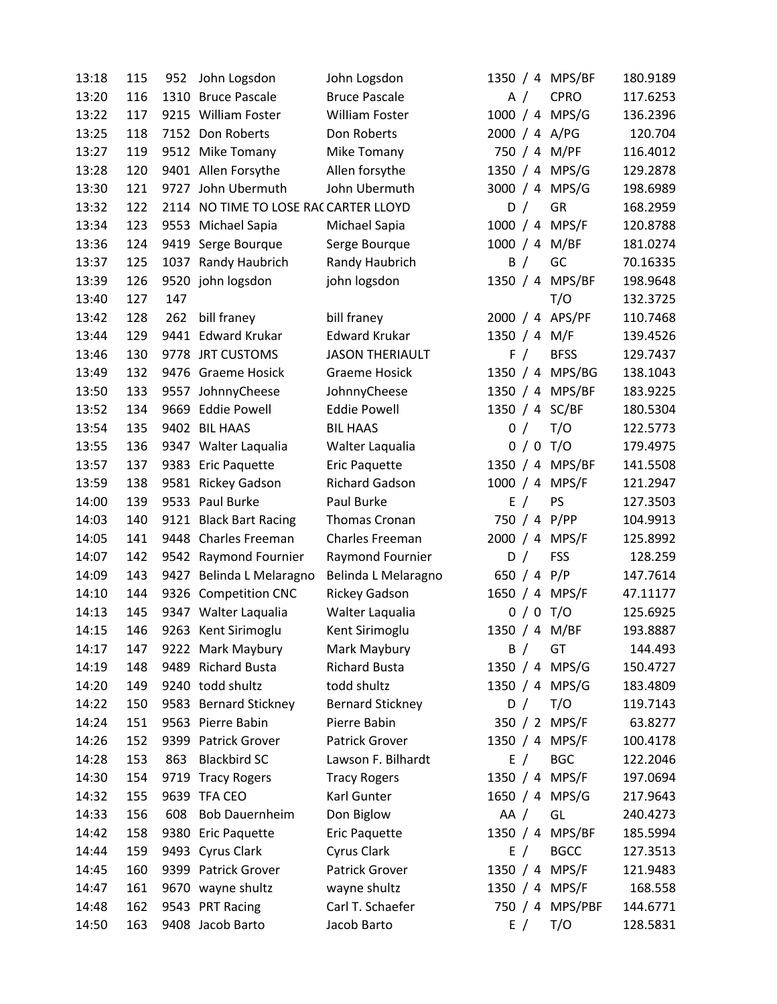| 13:18 | 115 | 952 | John Logsdon                         | John Logsdon            |              |             | 1350 / 4 MPS/BF | 180.9189 |
|-------|-----|-----|--------------------------------------|-------------------------|--------------|-------------|-----------------|----------|
| 13:20 | 116 |     | 1310 Bruce Pascale                   | <b>Bruce Pascale</b>    |              | A $/$       | <b>CPRO</b>     | 117.6253 |
| 13:22 | 117 |     | 9215 William Foster                  | <b>William Foster</b>   |              |             | 1000 / 4 MPS/G  | 136.2396 |
| 13:25 | 118 |     | 7152 Don Roberts                     | Don Roberts             |              |             | 2000 / 4 A/PG   | 120.704  |
| 13:27 | 119 |     | 9512 Mike Tomany                     | Mike Tomany             |              |             | 750 / 4 M/PF    | 116.4012 |
| 13:28 | 120 |     | 9401 Allen Forsythe                  | Allen forsythe          |              |             | 1350 / 4 MPS/G  | 129.2878 |
| 13:30 | 121 |     | 9727 John Ubermuth                   | John Ubermuth           |              |             | 3000 / 4 MPS/G  | 198.6989 |
| 13:32 | 122 |     | 2114 NO TIME TO LOSE RACCARTER LLOYD |                         |              | D /         | GR              | 168.2959 |
| 13:34 | 123 |     | 9553 Michael Sapia                   | Michael Sapia           |              |             | 1000 / 4 MPS/F  | 120.8788 |
| 13:36 | 124 |     | 9419 Serge Bourque                   | Serge Bourque           |              |             | 1000 / 4 M/BF   | 181.0274 |
| 13:37 | 125 |     | 1037 Randy Haubrich                  | Randy Haubrich          |              | B /         | GC              | 70.16335 |
| 13:39 | 126 |     | 9520 john logsdon                    | john logsdon            |              |             | 1350 / 4 MPS/BF | 198.9648 |
| 13:40 | 127 | 147 |                                      |                         |              |             | T/O             | 132.3725 |
| 13:42 | 128 | 262 | bill franey                          | bill franey             |              |             | 2000 / 4 APS/PF | 110.7468 |
| 13:44 | 129 |     | 9441 Edward Krukar                   | <b>Edward Krukar</b>    | 1350 / 4 M/F |             |                 | 139.4526 |
| 13:46 | 130 |     | 9778 JRT CUSTOMS                     | <b>JASON THERIAULT</b>  |              | F /         | <b>BFSS</b>     | 129.7437 |
| 13:49 | 132 |     | 9476 Graeme Hosick                   | <b>Graeme Hosick</b>    |              |             | 1350 / 4 MPS/BG | 138.1043 |
| 13:50 | 133 |     | 9557 JohnnyCheese                    | JohnnyCheese            |              |             | 1350 / 4 MPS/BF | 183.9225 |
| 13:52 | 134 |     | 9669 Eddie Powell                    | <b>Eddie Powell</b>     |              |             | 1350 / 4 SC/BF  | 180.5304 |
| 13:54 | 135 |     | 9402 BIL HAAS                        | <b>BIL HAAS</b>         |              | 0/          | T/O             | 122.5773 |
| 13:55 | 136 |     | 9347 Walter Laqualia                 | Walter Laqualia         |              |             | $0/0$ T/O       | 179.4975 |
| 13:57 | 137 |     | 9383 Eric Paquette                   | Eric Paquette           |              |             | 1350 / 4 MPS/BF | 141.5508 |
| 13:59 | 138 |     | 9581 Rickey Gadson                   | Richard Gadson          |              |             | 1000 / 4 MPS/F  | 121.2947 |
| 14:00 | 139 |     | 9533 Paul Burke                      | Paul Burke              |              | E /         | PS              | 127.3503 |
| 14:03 | 140 |     | 9121 Black Bart Racing               | Thomas Cronan           |              |             | 750 / 4 P/PP    | 104.9913 |
| 14:05 | 141 |     | 9448 Charles Freeman                 | Charles Freeman         |              |             | 2000 / 4 MPS/F  | 125.8992 |
| 14:07 | 142 |     | 9542 Raymond Fournier                | Raymond Fournier        |              | D /         | <b>FSS</b>      | 128.259  |
| 14:09 | 143 |     | 9427 Belinda L Melaragno             | Belinda L Melaragno     |              | 650 / 4 P/P |                 | 147.7614 |
| 14:10 | 144 |     | 9326 Competition CNC                 | <b>Rickey Gadson</b>    |              |             | 1650 / 4 MPS/F  | 47.11177 |
| 14:13 | 145 |     | 9347 Walter Laqualia                 | Walter Laqualia         |              |             | $0/0$ T/O       | 125.6925 |
| 14:15 | 146 |     | 9263 Kent Sirimoglu                  | Kent Sirimoglu          |              |             | 1350 / 4 M/BF   | 193.8887 |
| 14:17 | 147 |     | 9222 Mark Maybury                    | Mark Maybury            |              | B /         | GT              | 144.493  |
| 14:19 | 148 |     | 9489 Richard Busta                   | <b>Richard Busta</b>    |              |             | 1350 / 4 MPS/G  | 150.4727 |
| 14:20 | 149 |     | 9240 todd shultz                     | todd shultz             |              |             | 1350 / 4 MPS/G  | 183.4809 |
| 14:22 | 150 |     | 9583 Bernard Stickney                | <b>Bernard Stickney</b> |              | D /         | T/O             | 119.7143 |
| 14:24 | 151 |     | 9563 Pierre Babin                    | Pierre Babin            |              |             | 350 / 2 MPS/F   | 63.8277  |
| 14:26 | 152 |     | 9399 Patrick Grover                  | Patrick Grover          |              |             | 1350 / 4 MPS/F  | 100.4178 |
| 14:28 | 153 | 863 | <b>Blackbird SC</b>                  | Lawson F. Bilhardt      |              | E /         | <b>BGC</b>      | 122.2046 |
| 14:30 | 154 |     | 9719 Tracy Rogers                    | <b>Tracy Rogers</b>     |              |             | 1350 / 4 MPS/F  | 197.0694 |
| 14:32 | 155 |     | 9639 TFA CEO                         | Karl Gunter             |              |             | 1650 / 4 MPS/G  | 217.9643 |
| 14:33 | 156 | 608 | <b>Bob Dauernheim</b>                | Don Biglow              | AA /         |             | GL              | 240.4273 |
| 14:42 | 158 |     | 9380 Eric Paquette                   | Eric Paquette           |              |             | 1350 / 4 MPS/BF | 185.5994 |
| 14:44 | 159 |     | 9493 Cyrus Clark                     | Cyrus Clark             |              | E /         | <b>BGCC</b>     | 127.3513 |
| 14:45 | 160 |     | 9399 Patrick Grover                  | Patrick Grover          |              |             | 1350 / 4 MPS/F  | 121.9483 |
| 14:47 | 161 |     | 9670 wayne shultz                    | wayne shultz            |              |             | 1350 / 4 MPS/F  | 168.558  |
| 14:48 | 162 |     | 9543 PRT Racing                      | Carl T. Schaefer        |              |             | 750 / 4 MPS/PBF | 144.6771 |
| 14:50 | 163 |     | 9408 Jacob Barto                     | Jacob Barto             |              | E /         | T/O             | 128.5831 |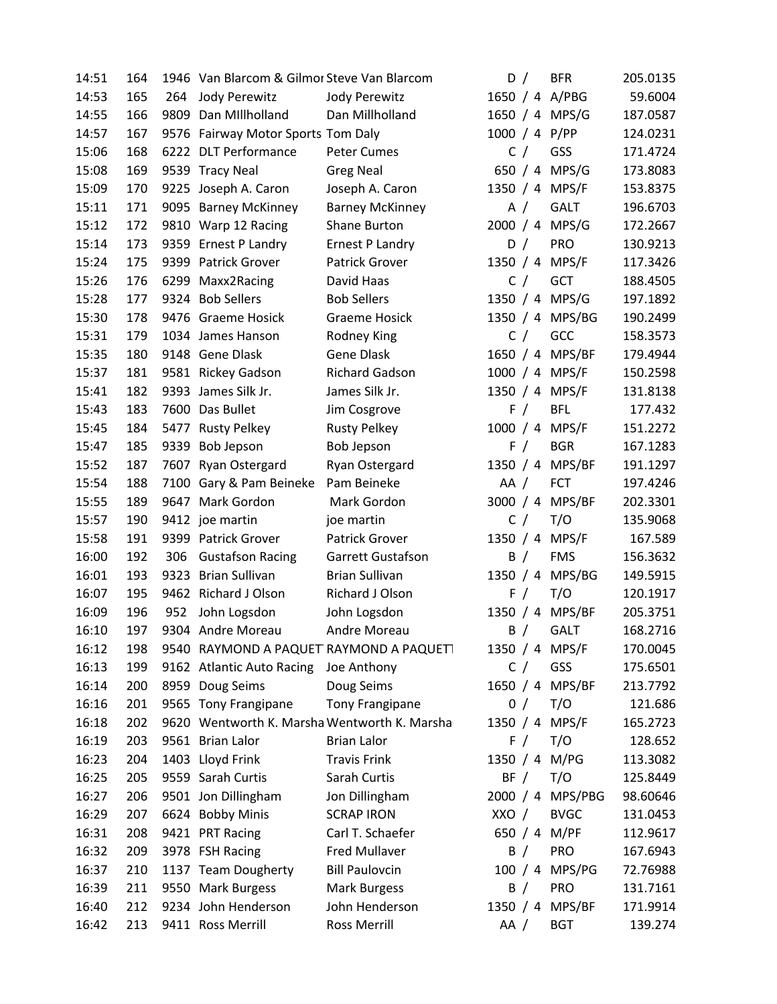| 14:51 | 164 |      | 1946 Van Blarcom & Gilmor Steve Van Blarcom |                                              | D /       |       | <b>BFR</b>       | 205.0135 |
|-------|-----|------|---------------------------------------------|----------------------------------------------|-----------|-------|------------------|----------|
| 14:53 | 165 | 264  | Jody Perewitz                               | Jody Perewitz                                |           |       | 1650 / 4 A/PBG   | 59.6004  |
| 14:55 | 166 | 9809 | Dan Millholland                             | Dan Millholland                              |           |       | 1650 / 4 MPS/G   | 187.0587 |
| 14:57 | 167 |      | 9576 Fairway Motor Sports Tom Daly          |                                              |           |       | 1000 / 4 P/PP    | 124.0231 |
| 15:06 | 168 |      | 6222 DLT Performance                        | <b>Peter Cumes</b>                           |           | C /   | GSS              | 171.4724 |
| 15:08 | 169 |      | 9539 Tracy Neal                             | <b>Greg Neal</b>                             |           |       | 650 / 4 MPS/G    | 173.8083 |
| 15:09 | 170 |      | 9225 Joseph A. Caron                        | Joseph A. Caron                              |           |       | 1350 / 4 MPS/F   | 153.8375 |
| 15:11 | 171 |      | 9095 Barney McKinney                        | <b>Barney McKinney</b>                       |           | A $/$ | <b>GALT</b>      | 196.6703 |
| 15:12 | 172 |      | 9810 Warp 12 Racing                         | Shane Burton                                 |           |       | 2000 / 4 MPS/G   | 172.2667 |
| 15:14 | 173 | 9359 | <b>Ernest P Landry</b>                      | <b>Ernest P Landry</b>                       |           | D /   | <b>PRO</b>       | 130.9213 |
| 15:24 | 175 |      | 9399 Patrick Grover                         | <b>Patrick Grover</b>                        |           |       | 1350 / 4 MPS/F   | 117.3426 |
| 15:26 | 176 | 6299 | Maxx2Racing                                 | David Haas                                   |           | C /   | <b>GCT</b>       | 188.4505 |
| 15:28 | 177 |      | 9324 Bob Sellers                            | <b>Bob Sellers</b>                           |           |       | 1350 / 4 MPS/G   | 197.1892 |
| 15:30 | 178 |      | 9476 Graeme Hosick                          | <b>Graeme Hosick</b>                         |           |       | 1350 / 4 MPS/BG  | 190.2499 |
| 15:31 | 179 |      | 1034 James Hanson                           | Rodney King                                  |           | C /   | GCC              | 158.3573 |
| 15:35 | 180 |      | 9148 Gene Dlask                             | <b>Gene Dlask</b>                            |           |       | 1650 / 4 MPS/BF  | 179.4944 |
| 15:37 | 181 |      | 9581 Rickey Gadson                          | <b>Richard Gadson</b>                        |           |       | 1000 / 4 MPS/F   | 150.2598 |
| 15:41 | 182 |      | 9393 James Silk Jr.                         | James Silk Jr.                               |           |       | 1350 / 4 MPS/F   | 131.8138 |
| 15:43 | 183 |      | 7600 Das Bullet                             | Jim Cosgrove                                 |           | F /   | <b>BFL</b>       | 177.432  |
| 15:45 | 184 |      | 5477 Rusty Pelkey                           | <b>Rusty Pelkey</b>                          |           |       | 1000 / 4 MPS/F   | 151.2272 |
| 15:47 | 185 | 9339 | <b>Bob Jepson</b>                           | <b>Bob Jepson</b>                            |           | F /   | <b>BGR</b>       | 167.1283 |
| 15:52 | 187 | 7607 | Ryan Ostergard                              | Ryan Ostergard                               |           |       | 1350 / 4 MPS/BF  | 191.1297 |
| 15:54 | 188 |      | 7100 Gary & Pam Beineke                     | Pam Beineke                                  | AA /      |       | <b>FCT</b>       | 197.4246 |
| 15:55 | 189 | 9647 | Mark Gordon                                 | Mark Gordon                                  |           |       | 3000 / 4 MPS/BF  | 202.3301 |
| 15:57 | 190 |      | 9412 joe martin                             | joe martin                                   |           | C /   | T/O              | 135.9068 |
| 15:58 | 191 |      | 9399 Patrick Grover                         | Patrick Grover                               | 1350 $/4$ |       | MPS/F            | 167.589  |
| 16:00 | 192 | 306  | <b>Gustafson Racing</b>                     | Garrett Gustafson                            |           | B /   | <b>FMS</b>       | 156.3632 |
| 16:01 | 193 | 9323 | <b>Brian Sullivan</b>                       | <b>Brian Sullivan</b>                        | 1350 / 4  |       | MPS/BG           | 149.5915 |
| 16:07 | 195 |      | 9462 Richard J Olson                        | Richard J Olson                              |           | F /   | T/O              | 120.1917 |
| 16:09 | 196 | 952  | John Logsdon                                | John Logsdon                                 |           |       | 1350 / 4 MPS/BF  | 205.3751 |
| 16:10 | 197 |      | 9304 Andre Moreau                           | Andre Moreau                                 | B /       |       | <b>GALT</b>      | 168.2716 |
| 16:12 | 198 |      |                                             | 9540 RAYMOND A PAQUET RAYMOND A PAQUET       |           |       | 1350 / 4 MPS/F   | 170.0045 |
| 16:13 | 199 |      | 9162 Atlantic Auto Racing                   | Joe Anthony                                  |           | C /   | GSS              | 175.6501 |
| 16:14 | 200 |      | 8959 Doug Seims                             | Doug Seims                                   |           |       | 1650 / 4 MPS/BF  | 213.7792 |
| 16:16 | 201 |      | 9565 Tony Frangipane                        | Tony Frangipane                              |           | 0/    | T/O              | 121.686  |
| 16:18 | 202 |      |                                             | 9620 Wentworth K. Marsha Wentworth K. Marsha |           |       | 1350 / 4 MPS/F   | 165.2723 |
| 16:19 | 203 |      | 9561 Brian Lalor                            | <b>Brian Lalor</b>                           |           | F /   | T/O              | 128.652  |
| 16:23 | 204 |      | 1403 Lloyd Frink                            | <b>Travis Frink</b>                          |           |       | 1350 / 4 M/PG    | 113.3082 |
| 16:25 | 205 |      | 9559 Sarah Curtis                           | Sarah Curtis                                 | BF /      |       | T/O              | 125.8449 |
| 16:27 | 206 |      | 9501 Jon Dillingham                         | Jon Dillingham                               |           |       | 2000 / 4 MPS/PBG | 98.60646 |
| 16:29 | 207 |      | 6624 Bobby Minis                            | <b>SCRAP IRON</b>                            | XXO /     |       | <b>BVGC</b>      | 131.0453 |
| 16:31 | 208 |      | 9421 PRT Racing                             | Carl T. Schaefer                             |           |       | 650 / 4 M/PF     | 112.9617 |
| 16:32 | 209 |      | 3978 FSH Racing                             | <b>Fred Mullaver</b>                         | B /       |       | PRO              | 167.6943 |
| 16:37 | 210 |      | 1137 Team Dougherty                         | <b>Bill Paulovcin</b>                        |           |       | 100 / 4 MPS/PG   | 72.76988 |
| 16:39 | 211 |      | 9550 Mark Burgess                           | <b>Mark Burgess</b>                          |           | B /   | PRO              | 131.7161 |
| 16:40 | 212 |      | 9234 John Henderson                         | John Henderson                               |           |       | 1350 / 4 MPS/BF  | 171.9914 |
| 16:42 | 213 |      | 9411 Ross Merrill                           | <b>Ross Merrill</b>                          | AA /      |       | <b>BGT</b>       | 139.274  |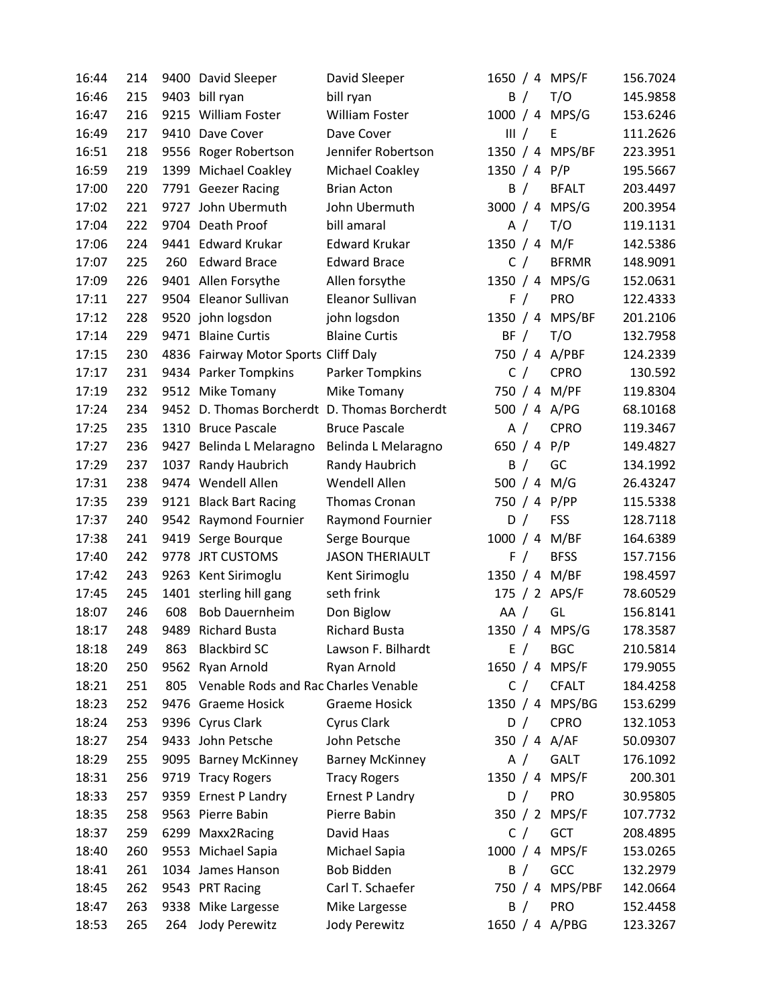| 16:44 | 214 |      | 9400 David Sleeper                           | David Sleeper          |              | 1650 / 4 MPS/F  | 156.7024 |
|-------|-----|------|----------------------------------------------|------------------------|--------------|-----------------|----------|
| 16:46 | 215 | 9403 | bill ryan                                    | bill ryan              | B /          | T/O             | 145.9858 |
| 16:47 | 216 |      | 9215 William Foster                          | <b>William Foster</b>  |              | 1000 / 4 MPS/G  | 153.6246 |
| 16:49 | 217 |      | 9410 Dave Cover                              | Dave Cover             | III /        | Ε               | 111.2626 |
| 16:51 | 218 |      | 9556 Roger Robertson                         | Jennifer Robertson     |              | 1350 / 4 MPS/BF | 223.3951 |
| 16:59 | 219 |      | 1399 Michael Coakley                         | Michael Coakley        | 1350 / 4 P/P |                 | 195.5667 |
| 17:00 | 220 |      | 7791 Geezer Racing                           | <b>Brian Acton</b>     | B /          | <b>BFALT</b>    | 203.4497 |
| 17:02 | 221 |      | 9727 John Ubermuth                           | John Ubermuth          |              | 3000 / 4 MPS/G  | 200.3954 |
| 17:04 | 222 |      | 9704 Death Proof                             | bill amaral            | A $/$        | T/O             | 119.1131 |
| 17:06 | 224 |      | 9441 Edward Krukar                           | <b>Edward Krukar</b>   | 1350 / 4 M/F |                 | 142.5386 |
| 17:07 | 225 | 260  | <b>Edward Brace</b>                          | <b>Edward Brace</b>    | C /          | <b>BFRMR</b>    | 148.9091 |
| 17:09 | 226 |      | 9401 Allen Forsythe                          | Allen forsythe         |              | 1350 / 4 MPS/G  | 152.0631 |
| 17:11 | 227 |      | 9504 Eleanor Sullivan                        | Eleanor Sullivan       | F /          | PRO             | 122.4333 |
| 17:12 | 228 |      | 9520 john logsdon                            | john logsdon           | 1350 / 4     | MPS/BF          | 201.2106 |
| 17:14 | 229 |      | 9471 Blaine Curtis                           | <b>Blaine Curtis</b>   | BF /         | T/O             | 132.7958 |
| 17:15 | 230 |      | 4836 Fairway Motor Sports Cliff Daly         |                        |              | 750 / 4 A/PBF   | 124.2339 |
| 17:17 | 231 |      | 9434 Parker Tompkins                         | Parker Tompkins        | C /          | <b>CPRO</b>     | 130.592  |
| 17:19 | 232 |      | 9512 Mike Tomany                             | Mike Tomany            |              | 750 / 4 M/PF    | 119.8304 |
| 17:24 | 234 |      | 9452 D. Thomas Borcherdt D. Thomas Borcherdt |                        |              | 500 / 4 A/PG    | 68.10168 |
| 17:25 | 235 |      | 1310 Bruce Pascale                           | <b>Bruce Pascale</b>   | A $/$        | <b>CPRO</b>     | 119.3467 |
| 17:27 | 236 |      | 9427 Belinda L Melaragno                     | Belinda L Melaragno    | 650 / 4 P/P  |                 | 149.4827 |
| 17:29 | 237 |      | 1037 Randy Haubrich                          | Randy Haubrich         | B /          | GC              | 134.1992 |
| 17:31 | 238 |      | 9474 Wendell Allen                           | Wendell Allen          |              | 500 $/ 4 M/G$   | 26.43247 |
| 17:35 | 239 |      | 9121 Black Bart Racing                       | Thomas Cronan          |              | 750 / 4 P/PP    | 115.5338 |
| 17:37 | 240 |      | 9542 Raymond Fournier                        | Raymond Fournier       | D /          | <b>FSS</b>      | 128.7118 |
| 17:38 | 241 |      | 9419 Serge Bourque                           | Serge Bourque          | 1000 / 4     | M/BF            | 164.6389 |
| 17:40 | 242 | 9778 | <b>JRT CUSTOMS</b>                           | <b>JASON THERIAULT</b> | F /          | <b>BFSS</b>     | 157.7156 |
| 17:42 | 243 |      | 9263 Kent Sirimoglu                          | Kent Sirimoglu         |              | 1350 / 4 M/BF   | 198.4597 |
| 17:45 | 245 |      | 1401 sterling hill gang                      | seth frink             |              | 175 / 2 APS/F   | 78.60529 |
| 18:07 | 246 | 608  | <b>Bob Dauernheim</b>                        | Don Biglow             | AA /         | GL              | 156.8141 |
| 18:17 | 248 |      | 9489 Richard Busta                           | <b>Richard Busta</b>   |              | 1350 / 4 MPS/G  | 178.3587 |
| 18:18 | 249 | 863  | <b>Blackbird SC</b>                          | Lawson F. Bilhardt     | E /          | <b>BGC</b>      | 210.5814 |
| 18:20 | 250 |      | 9562 Ryan Arnold                             | Ryan Arnold            |              | 1650 / 4 MPS/F  | 179.9055 |
| 18:21 | 251 | 805  | Venable Rods and Rac Charles Venable         |                        | C /          | <b>CFALT</b>    | 184.4258 |
| 18:23 | 252 |      | 9476 Graeme Hosick                           | <b>Graeme Hosick</b>   |              | 1350 / 4 MPS/BG | 153.6299 |
| 18:24 | 253 |      | 9396 Cyrus Clark                             | Cyrus Clark            | D /          | <b>CPRO</b>     | 132.1053 |
| 18:27 | 254 |      | 9433 John Petsche                            | John Petsche           |              | 350 / 4 A/AF    | 50.09307 |
| 18:29 | 255 |      | 9095 Barney McKinney                         | <b>Barney McKinney</b> | A /          | <b>GALT</b>     | 176.1092 |
| 18:31 | 256 |      | 9719 Tracy Rogers                            | <b>Tracy Rogers</b>    |              | 1350 / 4 MPS/F  | 200.301  |
| 18:33 | 257 |      | 9359 Ernest P Landry                         | <b>Ernest P Landry</b> | D /          | <b>PRO</b>      | 30.95805 |
| 18:35 | 258 |      | 9563 Pierre Babin                            | Pierre Babin           |              | 350 / 2 MPS/F   | 107.7732 |
| 18:37 | 259 |      | 6299 Maxx2Racing                             | David Haas             | C /          | GCT             | 208.4895 |
| 18:40 | 260 |      | 9553 Michael Sapia                           | Michael Sapia          |              | 1000 / 4 MPS/F  | 153.0265 |
| 18:41 | 261 |      | 1034 James Hanson                            | Bob Bidden             | B /          | GCC             | 132.2979 |
| 18:45 | 262 |      | 9543 PRT Racing                              | Carl T. Schaefer       | 750 / 4      | MPS/PBF         | 142.0664 |
| 18:47 | 263 |      | 9338 Mike Largesse                           | Mike Largesse          | B /          | PRO             | 152.4458 |
| 18:53 | 265 | 264  | Jody Perewitz                                | Jody Perewitz          |              | 1650 / 4 A/PBG  | 123.3267 |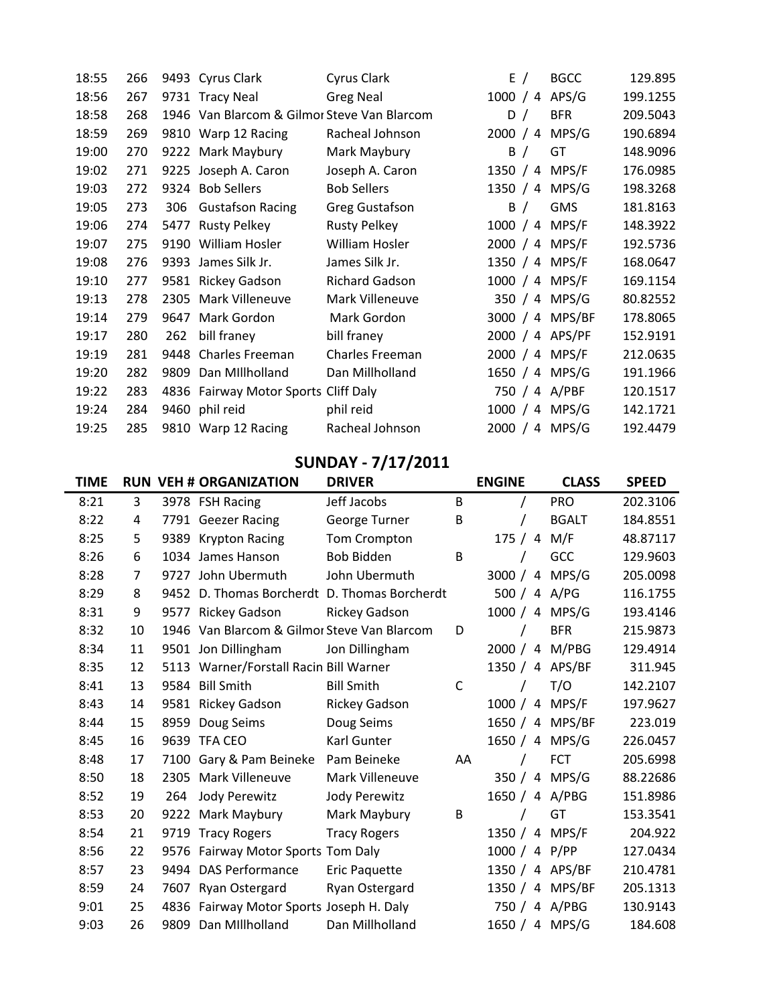| 18:55 | 266 |     | 9493 Cyrus Clark                            | Cyrus Clark         | E /             | <b>BGCC</b> | 129.895  |
|-------|-----|-----|---------------------------------------------|---------------------|-----------------|-------------|----------|
| 18:56 | 267 |     | 9731 Tracy Neal                             | <b>Greg Neal</b>    | 1000 / 4 APS/G  |             | 199.1255 |
| 18:58 | 268 |     | 1946 Van Blarcom & Gilmor Steve Van Blarcom |                     | D /             | <b>BFR</b>  | 209.5043 |
| 18:59 | 269 |     | 9810 Warp 12 Racing                         | Racheal Johnson     | 2000 / 4        | MPS/G       | 190.6894 |
| 19:00 | 270 |     | 9222 Mark Maybury                           | Mark Maybury        | B /             | GT          | 148.9096 |
| 19:02 | 271 |     | 9225 Joseph A. Caron                        | Joseph A. Caron     | 1350 / 4 MPS/F  |             | 176.0985 |
| 19:03 | 272 |     | 9324 Bob Sellers                            | <b>Bob Sellers</b>  | 1350 / 4 MPS/G  |             | 198.3268 |
| 19:05 | 273 | 306 | <b>Gustafson Racing</b>                     | Greg Gustafson      | B /             | GMS         | 181.8163 |
| 19:06 | 274 |     | 5477 Rusty Pelkey                           | <b>Rusty Pelkey</b> | 1000 / 4 MPS/F  |             | 148.3922 |
| 19:07 | 275 |     | 9190 William Hosler                         | William Hosler      | 2000 / 4 MPS/F  |             | 192.5736 |
| 19:08 | 276 |     | 9393 James Silk Jr.                         | James Silk Jr.      | 1350 / 4 MPS/F  |             | 168.0647 |
| 19:10 | 277 |     | 9581 Rickey Gadson                          | Richard Gadson      | 1000 / 4 MPS/F  |             | 169.1154 |
| 19:13 | 278 |     | 2305 Mark Villeneuve                        | Mark Villeneuve     | 350 / 4 MPS/G   |             | 80.82552 |
| 19:14 | 279 |     | 9647 Mark Gordon                            | Mark Gordon         | 3000 / 4 MPS/BF |             | 178.8065 |
| 19:17 | 280 | 262 | bill franey                                 | bill franey         | 2000 / 4 APS/PF |             | 152.9191 |
| 19:19 | 281 |     | 9448 Charles Freeman                        | Charles Freeman     | 2000 / 4 MPS/F  |             | 212.0635 |
| 19:20 | 282 |     | 9809 Dan Millholland                        | Dan Millholland     | 1650 / 4 MPS/G  |             | 191.1966 |
| 19:22 | 283 |     | 4836 Fairway Motor Sports Cliff Daly        |                     | 750 / 4 A/PBF   |             | 120.1517 |
| 19:24 | 284 |     | 9460 phil reid                              | phil reid           | 1000 / 4 MPS/G  |             | 142.1721 |
| 19:25 | 285 |     | 9810 Warp 12 Racing                         | Racheal Johnson     | 2000 / 4 MPS/G  |             | 192.4479 |

# SUNDAY - 7/17/2011

| TIME |    |      | <b>RUN VEH # ORGANIZATION</b>                | <b>DRIVER</b>        |    | <b>ENGINE</b> | <b>CLASS</b>    | <b>SPEED</b> |
|------|----|------|----------------------------------------------|----------------------|----|---------------|-----------------|--------------|
| 8:21 | 3  |      | 3978 FSH Racing                              | Jeff Jacobs          | B  |               | <b>PRO</b>      | 202.3106     |
| 8:22 | 4  |      | 7791 Geezer Racing                           | George Turner        | B  |               | <b>BGALT</b>    | 184.8551     |
| 8:25 | 5  | 9389 | <b>Krypton Racing</b>                        | Tom Crompton         |    | 175/4         | M/F             | 48.87117     |
| 8:26 | 6  |      | 1034 James Hanson                            | <b>Bob Bidden</b>    | B  |               | GCC             | 129.9603     |
| 8:28 | 7  |      | 9727 John Ubermuth                           | John Ubermuth        |    | 3000 /        | 4 MPS/G         | 205.0098     |
| 8:29 | 8  |      | 9452 D. Thomas Borcherdt D. Thomas Borcherdt |                      |    | 500 / 4 A/PG  |                 | 116.1755     |
| 8:31 | 9  | 9577 | <b>Rickey Gadson</b>                         | <b>Rickey Gadson</b> |    |               | 1000 / 4 MPS/G  | 193.4146     |
| 8:32 | 10 |      | 1946 Van Blarcom & Gilmor Steve Van Blarcom  |                      | D  |               | <b>BFR</b>      | 215.9873     |
| 8:34 | 11 |      | 9501 Jon Dillingham                          | Jon Dillingham       |    |               | 2000 / 4 M/PBG  | 129.4914     |
| 8:35 | 12 |      | 5113 Warner/Forstall Racin Bill Warner       |                      |    |               | 1350 / 4 APS/BF | 311.945      |
| 8:41 | 13 |      | 9584 Bill Smith                              | <b>Bill Smith</b>    | C  |               | T/O             | 142.2107     |
| 8:43 | 14 |      | 9581 Rickey Gadson                           | <b>Rickey Gadson</b> |    |               | 1000 / 4 MPS/F  | 197.9627     |
| 8:44 | 15 | 8959 | Doug Seims                                   | Doug Seims           |    |               | 1650 / 4 MPS/BF | 223.019      |
| 8:45 | 16 |      | 9639 TFA CEO                                 | Karl Gunter          |    |               | 1650 / 4 MPS/G  | 226.0457     |
| 8:48 | 17 | 7100 | Gary & Pam Beineke                           | Pam Beineke          | AA |               | <b>FCT</b>      | 205.6998     |
| 8:50 | 18 | 2305 | Mark Villeneuve                              | Mark Villeneuve      |    |               | 350 / 4 MPS/G   | 88.22686     |
| 8:52 | 19 | 264  | Jody Perewitz                                | Jody Perewitz        |    |               | 1650 / 4 A/PBG  | 151.8986     |
| 8:53 | 20 |      | 9222 Mark Maybury                            | Mark Maybury         | B  | $\prime$      | GT              | 153.3541     |
| 8:54 | 21 | 9719 | <b>Tracy Rogers</b>                          | <b>Tracy Rogers</b>  |    |               | 1350 / 4 MPS/F  | 204.922      |
| 8:56 | 22 |      | 9576 Fairway Motor Sports Tom Daly           |                      |    | 1000 / 4 P/PP |                 | 127.0434     |
| 8:57 | 23 |      | 9494 DAS Performance                         | Eric Paquette        |    |               | 1350 / 4 APS/BF | 210.4781     |
| 8:59 | 24 | 7607 | Ryan Ostergard                               | Ryan Ostergard       |    |               | 1350 / 4 MPS/BF | 205.1313     |
| 9:01 | 25 |      | 4836 Fairway Motor Sports Joseph H. Daly     |                      |    |               | 750 / 4 A/PBG   | 130.9143     |
| 9:03 | 26 | 9809 | Dan Millholland                              | Dan Millholland      |    |               | 1650 / 4 MPS/G  | 184.608      |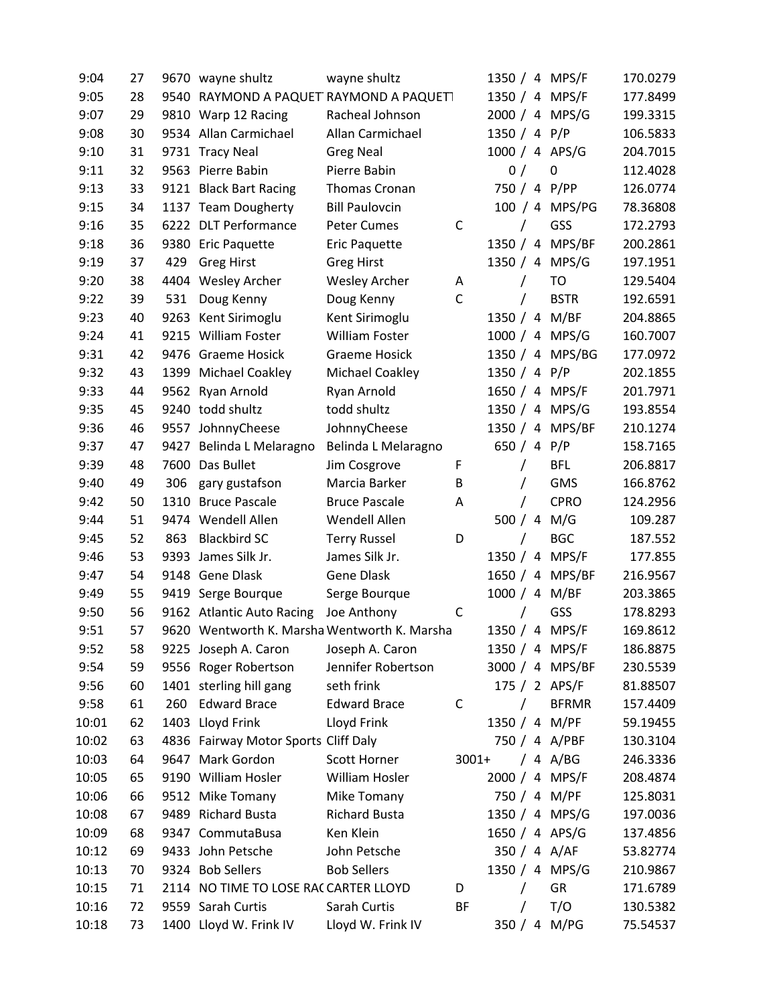| 9:04  | 27 |      | 9670 wayne shultz                    | wayne shultz                                 |             |                |          | 1350 / 4 MPS/F  | 170.0279 |
|-------|----|------|--------------------------------------|----------------------------------------------|-------------|----------------|----------|-----------------|----------|
| 9:05  | 28 |      |                                      | 9540 RAYMOND A PAQUET RAYMOND A PAQUET1      |             |                |          | 1350 / 4 MPS/F  | 177.8499 |
| 9:07  | 29 |      | 9810 Warp 12 Racing                  | Racheal Johnson                              |             |                |          | 2000 / 4 MPS/G  | 199.3315 |
| 9:08  | 30 |      | 9534 Allan Carmichael                | Allan Carmichael                             |             | 1350 / 4 P/P   |          |                 | 106.5833 |
| 9:10  | 31 |      | 9731 Tracy Neal                      | <b>Greg Neal</b>                             |             |                |          | 1000 / 4 APS/G  | 204.7015 |
| 9:11  | 32 |      | 9563 Pierre Babin                    | Pierre Babin                                 |             | 0/             |          | 0               | 112.4028 |
| 9:13  | 33 |      | 9121 Black Bart Racing               | Thomas Cronan                                |             |                |          | 750 / 4 P/PP    | 126.0774 |
| 9:15  | 34 |      | 1137 Team Dougherty                  | <b>Bill Paulovcin</b>                        |             |                |          | 100 / 4 MPS/PG  | 78.36808 |
| 9:16  | 35 |      | 6222 DLT Performance                 | Peter Cumes                                  | C           |                |          | GSS             | 172.2793 |
| 9:18  | 36 |      | 9380 Eric Paquette                   | Eric Paquette                                |             |                |          | 1350 / 4 MPS/BF | 200.2861 |
| 9:19  | 37 | 429  | <b>Greg Hirst</b>                    | <b>Greg Hirst</b>                            |             |                |          | 1350 / 4 MPS/G  | 197.1951 |
| 9:20  | 38 |      | 4404 Wesley Archer                   | <b>Wesley Archer</b>                         | A           |                | T        | TO              | 129.5404 |
| 9:22  | 39 | 531  | Doug Kenny                           | Doug Kenny                                   | $\mathsf C$ |                |          | <b>BSTR</b>     | 192.6591 |
| 9:23  | 40 |      | 9263 Kent Sirimoglu                  | Kent Sirimoglu                               |             | 1350 / 4 M/BF  |          |                 | 204.8865 |
| 9:24  | 41 |      | 9215 William Foster                  | <b>William Foster</b>                        |             |                |          | 1000 / 4 MPS/G  | 160.7007 |
| 9:31  | 42 |      | 9476 Graeme Hosick                   | <b>Graeme Hosick</b>                         |             |                |          | 1350 / 4 MPS/BG | 177.0972 |
| 9:32  | 43 |      | 1399 Michael Coakley                 | Michael Coakley                              |             | 1350 / 4 $P/P$ |          |                 | 202.1855 |
| 9:33  | 44 |      | 9562 Ryan Arnold                     | Ryan Arnold                                  |             |                |          | 1650 / 4 MPS/F  | 201.7971 |
| 9:35  | 45 |      | 9240 todd shultz                     | todd shultz                                  |             |                |          | 1350 / 4 MPS/G  | 193.8554 |
| 9:36  | 46 |      | 9557 JohnnyCheese                    | JohnnyCheese                                 |             |                |          | 1350 / 4 MPS/BF | 210.1274 |
| 9:37  | 47 |      | 9427 Belinda L Melaragno             | Belinda L Melaragno                          |             | 650 / 4 P/P    |          |                 | 158.7165 |
| 9:39  | 48 | 7600 | Das Bullet                           | Jim Cosgrove                                 | F           |                | $\prime$ | <b>BFL</b>      | 206.8817 |
| 9:40  | 49 | 306  | gary gustafson                       | Marcia Barker                                | B           |                | $\prime$ | GMS             | 166.8762 |
| 9:42  | 50 |      | 1310 Bruce Pascale                   | <b>Bruce Pascale</b>                         | A           |                | T        | <b>CPRO</b>     | 124.2956 |
| 9:44  | 51 |      | 9474 Wendell Allen                   | Wendell Allen                                |             |                |          | 500 / 4 M/G     | 109.287  |
| 9:45  | 52 | 863  | <b>Blackbird SC</b>                  | <b>Terry Russel</b>                          | D           |                |          | <b>BGC</b>      | 187.552  |
| 9:46  | 53 | 9393 | James Silk Jr.                       | James Silk Jr.                               |             |                |          | 1350 / 4 MPS/F  | 177.855  |
| 9:47  | 54 |      | 9148 Gene Dlask                      | Gene Dlask                                   |             |                |          | 1650 / 4 MPS/BF | 216.9567 |
| 9:49  | 55 |      | 9419 Serge Bourque                   | Serge Bourque                                |             | 1000 / 4 M/BF  |          |                 | 203.3865 |
| 9:50  | 56 |      | 9162 Atlantic Auto Racing            | Joe Anthony                                  | C           |                |          | GSS             | 178.8293 |
| 9:51  | 57 |      |                                      | 9620 Wentworth K. Marsha Wentworth K. Marsha |             |                |          | 1350 / 4 MPS/F  | 169.8612 |
| 9:52  | 58 |      | 9225 Joseph A. Caron                 | Joseph A. Caron                              |             |                |          | 1350 / 4 MPS/F  | 186.8875 |
| 9:54  | 59 |      | 9556 Roger Robertson                 | Jennifer Robertson                           |             |                |          | 3000 / 4 MPS/BF | 230.5539 |
| 9:56  | 60 |      | 1401 sterling hill gang              | seth frink                                   |             |                |          | 175 / 2 APS/F   | 81.88507 |
| 9:58  | 61 | 260  | <b>Edward Brace</b>                  | <b>Edward Brace</b>                          | C           |                |          | <b>BFRMR</b>    | 157.4409 |
| 10:01 | 62 |      | 1403 Lloyd Frink                     | Lloyd Frink                                  |             |                |          | 1350 / 4 M/PF   | 59.19455 |
| 10:02 | 63 |      | 4836 Fairway Motor Sports Cliff Daly |                                              |             |                |          | 750 / 4 A/PBF   | 130.3104 |
| 10:03 | 64 |      | 9647 Mark Gordon                     | Scott Horner                                 | $3001+$     |                |          | / 4 A/BG        | 246.3336 |
| 10:05 | 65 |      | 9190 William Hosler                  | William Hosler                               |             |                |          | 2000 / 4 MPS/F  | 208.4874 |
| 10:06 | 66 |      | 9512 Mike Tomany                     | Mike Tomany                                  |             |                |          | 750 / 4 M/PF    | 125.8031 |
| 10:08 | 67 |      | 9489 Richard Busta                   | <b>Richard Busta</b>                         |             |                |          | 1350 / 4 MPS/G  | 197.0036 |
| 10:09 | 68 |      | 9347 CommutaBusa                     | Ken Klein                                    |             |                |          | 1650 / 4 APS/G  | 137.4856 |
| 10:12 | 69 |      | 9433 John Petsche                    | John Petsche                                 |             |                |          | 350 / 4 A/AF    | 53.82774 |
| 10:13 | 70 |      | 9324 Bob Sellers                     | <b>Bob Sellers</b>                           |             |                |          | 1350 / 4 MPS/G  | 210.9867 |
| 10:15 | 71 |      | 2114 NO TIME TO LOSE RACCARTER LLOYD |                                              | D           |                |          | GR              | 171.6789 |
| 10:16 | 72 |      | 9559 Sarah Curtis                    | Sarah Curtis                                 | BF          |                |          | T/O             | 130.5382 |
| 10:18 | 73 |      | 1400 Lloyd W. Frink IV               | Lloyd W. Frink IV                            |             |                |          | 350 / 4 M/PG    | 75.54537 |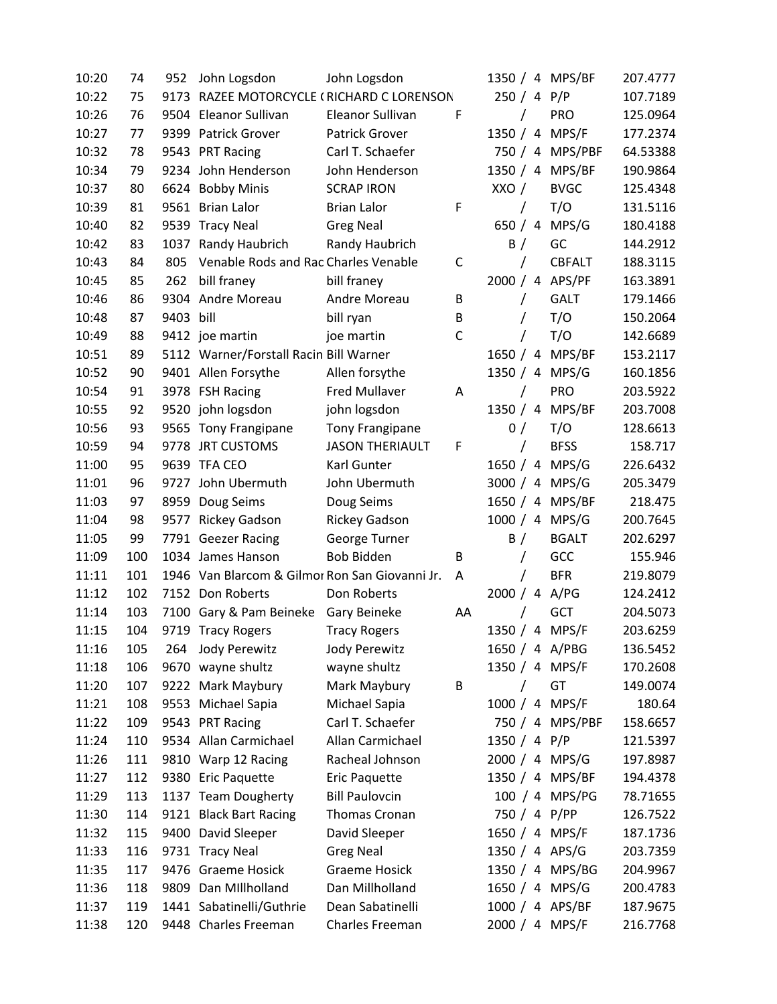| 10:20 | 74  | 952       | John Logsdon                                   | John Logsdon           |    |                |          | 1350 / 4 MPS/BF | 207.4777 |
|-------|-----|-----------|------------------------------------------------|------------------------|----|----------------|----------|-----------------|----------|
| 10:22 | 75  | 9173      | RAZEE MOTORCYCLE (RICHARD C LORENSON           |                        |    | 250 / 4 P/P    |          |                 | 107.7189 |
| 10:26 | 76  | 9504      | Eleanor Sullivan                               | Eleanor Sullivan       | F  |                | T        | PRO             | 125.0964 |
| 10:27 | 77  | 9399      | <b>Patrick Grover</b>                          | <b>Patrick Grover</b>  |    | 1350 / 4       |          | MPS/F           | 177.2374 |
| 10:32 | 78  |           | 9543 PRT Racing                                | Carl T. Schaefer       |    |                |          | 750 / 4 MPS/PBF | 64.53388 |
| 10:34 | 79  |           | 9234 John Henderson                            | John Henderson         |    |                |          | 1350 / 4 MPS/BF | 190.9864 |
| 10:37 | 80  | 6624      | <b>Bobby Minis</b>                             | <b>SCRAP IRON</b>      |    | XXO /          |          | <b>BVGC</b>     | 125.4348 |
| 10:39 | 81  |           | 9561 Brian Lalor                               | <b>Brian Lalor</b>     | F  | $\prime$       |          | T/O             | 131.5116 |
| 10:40 | 82  | 9539      | <b>Tracy Neal</b>                              | <b>Greg Neal</b>       |    | 650 $/4$       |          | MPS/G           | 180.4188 |
| 10:42 | 83  | 1037      | Randy Haubrich                                 | Randy Haubrich         |    | B /            |          | GC              | 144.2912 |
| 10:43 | 84  | 805       | Venable Rods and Rac Charles Venable           |                        | C  | $\prime$       |          | <b>CBFALT</b>   | 188.3115 |
| 10:45 | 85  | 262       | bill franey                                    | bill franey            |    |                |          | 2000 / 4 APS/PF | 163.3891 |
| 10:46 | 86  |           | 9304 Andre Moreau                              | Andre Moreau           | B  | 7              |          | <b>GALT</b>     | 179.1466 |
| 10:48 | 87  | 9403 bill |                                                | bill ryan              | B  |                |          | T/O             | 150.2064 |
| 10:49 | 88  |           | 9412 joe martin                                | joe martin             | C  | 7              |          | T/O             | 142.6689 |
| 10:51 | 89  |           | 5112 Warner/Forstall Racin Bill Warner         |                        |    | 1650 / 4       |          | MPS/BF          | 153.2117 |
| 10:52 | 90  |           | 9401 Allen Forsythe                            | Allen forsythe         |    | 1350 / 4       |          | MPS/G           | 160.1856 |
| 10:54 | 91  |           | 3978 FSH Racing                                | <b>Fred Mullaver</b>   | A  | T              |          | PRO             | 203.5922 |
| 10:55 | 92  |           | 9520 john logsdon                              | john logsdon           |    | 1350 / 4       |          | MPS/BF          | 203.7008 |
| 10:56 | 93  |           | 9565 Tony Frangipane                           | <b>Tony Frangipane</b> |    | 0/             |          | T/O             | 128.6613 |
| 10:59 | 94  | 9778      | <b>JRT CUSTOMS</b>                             | <b>JASON THERIAULT</b> | F  |                |          | <b>BFSS</b>     | 158.717  |
| 11:00 | 95  |           | 9639 TFA CEO                                   | Karl Gunter            |    | 1650 / 4       |          | MPS/G           | 226.6432 |
| 11:01 | 96  | 9727      | John Ubermuth                                  | John Ubermuth          |    | 3000 / 4       |          | MPS/G           | 205.3479 |
| 11:03 | 97  | 8959      | Doug Seims                                     | Doug Seims             |    |                |          | 1650 / 4 MPS/BF | 218.475  |
| 11:04 | 98  |           | 9577 Rickey Gadson                             | <b>Rickey Gadson</b>   |    |                |          | 1000 / 4 MPS/G  | 200.7645 |
| 11:05 | 99  |           | 7791 Geezer Racing                             | George Turner          |    | B /            |          | <b>BGALT</b>    | 202.6297 |
| 11:09 | 100 |           | 1034 James Hanson                              | <b>Bob Bidden</b>      | B  | T              |          | GCC             | 155.946  |
| 11:11 | 101 |           | 1946 Van Blarcom & Gilmor Ron San Giovanni Jr. |                        | Α  |                |          | <b>BFR</b>      | 219.8079 |
| 11:12 | 102 |           | 7152 Don Roberts                               | Don Roberts            |    | 2000 / 4 A/PG  |          |                 | 124.2412 |
| 11:14 | 103 |           | 7100 Gary & Pam Beineke                        | Gary Beineke           | AA |                |          | GCT             | 204.5073 |
| 11:15 | 104 |           | 9719 Tracy Rogers                              | <b>Tracy Rogers</b>    |    |                |          | 1350 / 4 MPS/F  | 203.6259 |
| 11:16 | 105 | 264       | Jody Perewitz                                  | Jody Perewitz          |    |                |          | 1650 / 4 A/PBG  | 136.5452 |
| 11:18 | 106 |           | 9670 wayne shultz                              | wayne shultz           |    |                |          | 1350 / 4 MPS/F  | 170.2608 |
| 11:20 | 107 |           | 9222 Mark Maybury                              | Mark Maybury           | B  |                | $\prime$ | GT              | 149.0074 |
| 11:21 | 108 |           | 9553 Michael Sapia                             | Michael Sapia          |    |                |          | 1000 / 4 MPS/F  | 180.64   |
| 11:22 | 109 |           | 9543 PRT Racing                                | Carl T. Schaefer       |    |                |          | 750 / 4 MPS/PBF | 158.6657 |
| 11:24 | 110 |           | 9534 Allan Carmichael                          | Allan Carmichael       |    | 1350 / 4 $P/P$ |          |                 | 121.5397 |
| 11:26 | 111 |           | 9810 Warp 12 Racing                            | Racheal Johnson        |    |                |          | 2000 / 4 MPS/G  | 197.8987 |
| 11:27 | 112 |           | 9380 Eric Paquette                             | Eric Paquette          |    |                |          | 1350 / 4 MPS/BF | 194.4378 |
| 11:29 | 113 |           | 1137 Team Dougherty                            | <b>Bill Paulovcin</b>  |    |                |          | 100 / 4 MPS/PG  | 78.71655 |
| 11:30 | 114 |           | 9121 Black Bart Racing                         | Thomas Cronan          |    |                |          | 750 / 4 P/PP    | 126.7522 |
| 11:32 | 115 |           | 9400 David Sleeper                             | David Sleeper          |    |                |          | 1650 / 4 MPS/F  | 187.1736 |
| 11:33 | 116 |           | 9731 Tracy Neal                                | <b>Greg Neal</b>       |    |                |          | 1350 / 4 APS/G  | 203.7359 |
| 11:35 | 117 |           | 9476 Graeme Hosick                             | <b>Graeme Hosick</b>   |    |                |          | 1350 / 4 MPS/BG | 204.9967 |
| 11:36 | 118 |           | 9809 Dan Millholland                           | Dan Millholland        |    |                |          | 1650 / 4 MPS/G  | 200.4783 |
| 11:37 | 119 |           | 1441 Sabatinelli/Guthrie                       | Dean Sabatinelli       |    |                |          | 1000 / 4 APS/BF | 187.9675 |
| 11:38 | 120 |           | 9448 Charles Freeman                           | Charles Freeman        |    |                |          | 2000 / 4 MPS/F  | 216.7768 |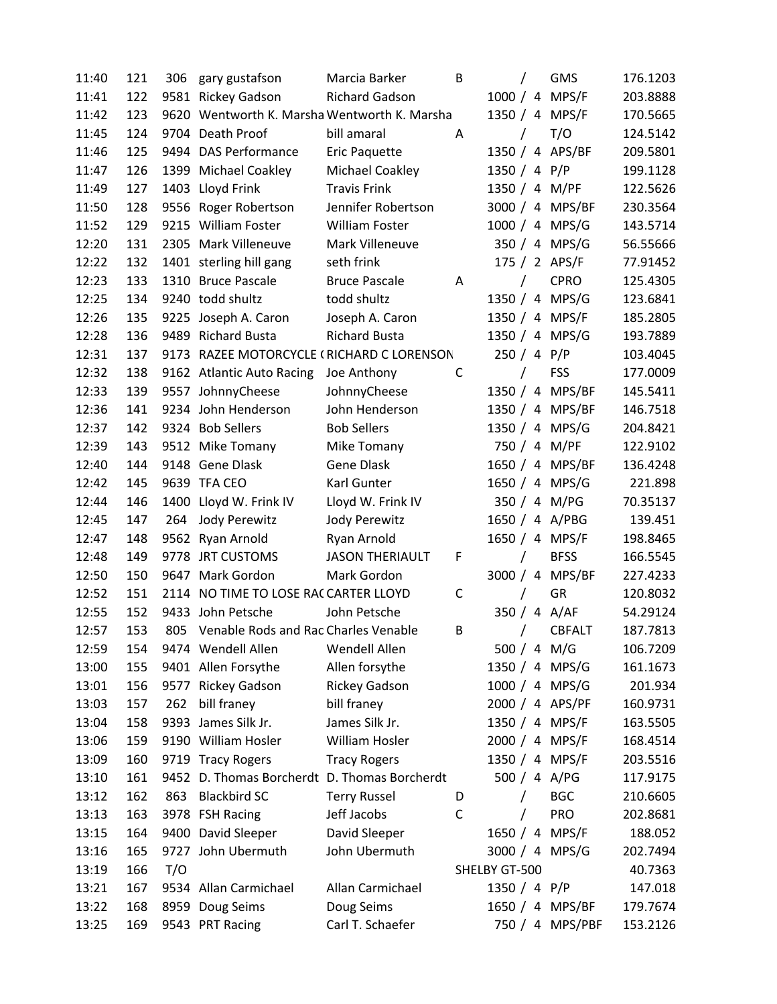| 11:40 | 121 | 306  | gary gustafson                               | Marcia Barker          | B            |                |            | <b>GMS</b>      | 176.1203 |
|-------|-----|------|----------------------------------------------|------------------------|--------------|----------------|------------|-----------------|----------|
| 11:41 | 122 |      | 9581 Rickey Gadson                           | <b>Richard Gadson</b>  |              |                |            | 1000 / 4 MPS/F  | 203.8888 |
| 11:42 | 123 |      | 9620 Wentworth K. Marsha Wentworth K. Marsha |                        |              |                |            | 1350 / 4 MPS/F  | 170.5665 |
| 11:45 | 124 |      | 9704 Death Proof                             | bill amaral            | A            |                |            | T/O             | 124.5142 |
| 11:46 | 125 |      | 9494 DAS Performance                         | Eric Paquette          |              |                |            | 1350 / 4 APS/BF | 209.5801 |
| 11:47 | 126 |      | 1399 Michael Coakley                         | Michael Coakley        |              | 1350 / 4 P/P   |            |                 | 199.1128 |
| 11:49 | 127 |      | 1403 Lloyd Frink                             | <b>Travis Frink</b>    |              | 1350 / 4 M/PF  |            |                 | 122.5626 |
| 11:50 | 128 |      | 9556 Roger Robertson                         | Jennifer Robertson     |              |                |            | 3000 / 4 MPS/BF | 230.3564 |
| 11:52 | 129 |      | 9215 William Foster                          | <b>William Foster</b>  |              |                |            | 1000 / 4 MPS/G  | 143.5714 |
| 12:20 | 131 |      | 2305 Mark Villeneuve                         | Mark Villeneuve        |              |                |            | 350 / 4 MPS/G   | 56.55666 |
| 12:22 | 132 |      | 1401 sterling hill gang                      | seth frink             |              |                |            | 175 / 2 APS/F   | 77.91452 |
| 12:23 | 133 |      | 1310 Bruce Pascale                           | <b>Bruce Pascale</b>   | Α            |                |            | <b>CPRO</b>     | 125.4305 |
| 12:25 | 134 |      | 9240 todd shultz                             | todd shultz            |              |                |            | 1350 / 4 MPS/G  | 123.6841 |
| 12:26 | 135 |      | 9225 Joseph A. Caron                         | Joseph A. Caron        |              |                |            | 1350 / 4 MPS/F  | 185.2805 |
| 12:28 | 136 |      | 9489 Richard Busta                           | <b>Richard Busta</b>   |              |                |            | 1350 / 4 MPS/G  | 193.7889 |
| 12:31 | 137 |      | 9173 RAZEE MOTORCYCLE (RICHARD C LORENSON    |                        |              | 250 / 4 P/P    |            |                 | 103.4045 |
| 12:32 | 138 |      | 9162 Atlantic Auto Racing                    | Joe Anthony            | C            |                | $\sqrt{2}$ | <b>FSS</b>      | 177.0009 |
| 12:33 | 139 |      | 9557 JohnnyCheese                            | JohnnyCheese           |              |                |            | 1350 / 4 MPS/BF | 145.5411 |
| 12:36 | 141 |      | 9234 John Henderson                          | John Henderson         |              |                |            | 1350 / 4 MPS/BF | 146.7518 |
| 12:37 | 142 |      | 9324 Bob Sellers                             | <b>Bob Sellers</b>     |              |                |            | 1350 / 4 MPS/G  | 204.8421 |
| 12:39 | 143 |      | 9512 Mike Tomany                             | Mike Tomany            |              |                |            | 750 / 4 M/PF    | 122.9102 |
| 12:40 | 144 |      | 9148 Gene Dlask                              | <b>Gene Dlask</b>      |              |                |            | 1650 / 4 MPS/BF | 136.4248 |
| 12:42 | 145 |      | 9639 TFA CEO                                 | Karl Gunter            |              |                |            | 1650 / 4 MPS/G  | 221.898  |
| 12:44 | 146 | 1400 | Lloyd W. Frink IV                            | Lloyd W. Frink IV      |              |                |            | 350 / 4 M/PG    | 70.35137 |
| 12:45 | 147 | 264  | Jody Perewitz                                | Jody Perewitz          |              |                |            | 1650 / 4 A/PBG  | 139.451  |
| 12:47 | 148 |      | 9562 Ryan Arnold                             | Ryan Arnold            |              |                |            | 1650 / 4 MPS/F  | 198.8465 |
| 12:48 | 149 | 9778 | <b>JRT CUSTOMS</b>                           | <b>JASON THERIAULT</b> | F            |                | $\prime$   | <b>BFSS</b>     | 166.5545 |
| 12:50 | 150 |      | 9647 Mark Gordon                             | Mark Gordon            |              | 3000 / 4       |            | MPS/BF          | 227.4233 |
| 12:52 | 151 |      | 2114 NO TIME TO LOSE RACCARTER LLOYD         |                        | $\mathsf{C}$ |                | T          | GR              | 120.8032 |
| 12:55 | 152 |      | 9433 John Petsche                            | John Petsche           |              |                |            | 350 / 4 A/AF    | 54.29124 |
| 12:57 | 153 | 805  | Venable Rods and Rac Charles Venable         |                        | B            |                | T          | <b>CBFALT</b>   | 187.7813 |
| 12:59 | 154 |      | 9474 Wendell Allen                           | Wendell Allen          |              |                |            | 500 / 4 M/G     | 106.7209 |
| 13:00 | 155 |      | 9401 Allen Forsythe                          | Allen forsythe         |              |                |            | 1350 / 4 MPS/G  | 161.1673 |
| 13:01 | 156 |      | 9577 Rickey Gadson                           | <b>Rickey Gadson</b>   |              |                |            | 1000 / 4 MPS/G  | 201.934  |
| 13:03 | 157 | 262  | bill franey                                  | bill franey            |              |                |            | 2000 / 4 APS/PF | 160.9731 |
| 13:04 | 158 |      | 9393 James Silk Jr.                          | James Silk Jr.         |              |                |            | 1350 / 4 MPS/F  | 163.5505 |
| 13:06 | 159 |      | 9190 William Hosler                          | William Hosler         |              |                |            | 2000 / 4 MPS/F  | 168.4514 |
| 13:09 | 160 |      | 9719 Tracy Rogers                            | <b>Tracy Rogers</b>    |              |                |            | 1350 / 4 MPS/F  | 203.5516 |
| 13:10 | 161 |      | 9452 D. Thomas Borcherdt D. Thomas Borcherdt |                        |              |                |            | 500 / 4 A/PG    | 117.9175 |
| 13:12 | 162 | 863  | <b>Blackbird SC</b>                          | <b>Terry Russel</b>    | D            |                |            | <b>BGC</b>      | 210.6605 |
| 13:13 | 163 |      | 3978 FSH Racing                              | Jeff Jacobs            | C            |                |            | PRO             | 202.8681 |
| 13:15 | 164 |      | 9400 David Sleeper                           | David Sleeper          |              |                |            | 1650 / 4 MPS/F  | 188.052  |
| 13:16 | 165 |      | 9727 John Ubermuth                           | John Ubermuth          |              |                |            | 3000 / 4 MPS/G  | 202.7494 |
| 13:19 | 166 | T/O  |                                              |                        |              | SHELBY GT-500  |            |                 | 40.7363  |
| 13:21 | 167 |      | 9534 Allan Carmichael                        | Allan Carmichael       |              | 1350 / 4 $P/P$ |            |                 | 147.018  |
| 13:22 | 168 |      | 8959 Doug Seims                              | Doug Seims             |              |                |            | 1650 / 4 MPS/BF | 179.7674 |
| 13:25 | 169 |      | 9543 PRT Racing                              | Carl T. Schaefer       |              |                |            | 750 / 4 MPS/PBF | 153.2126 |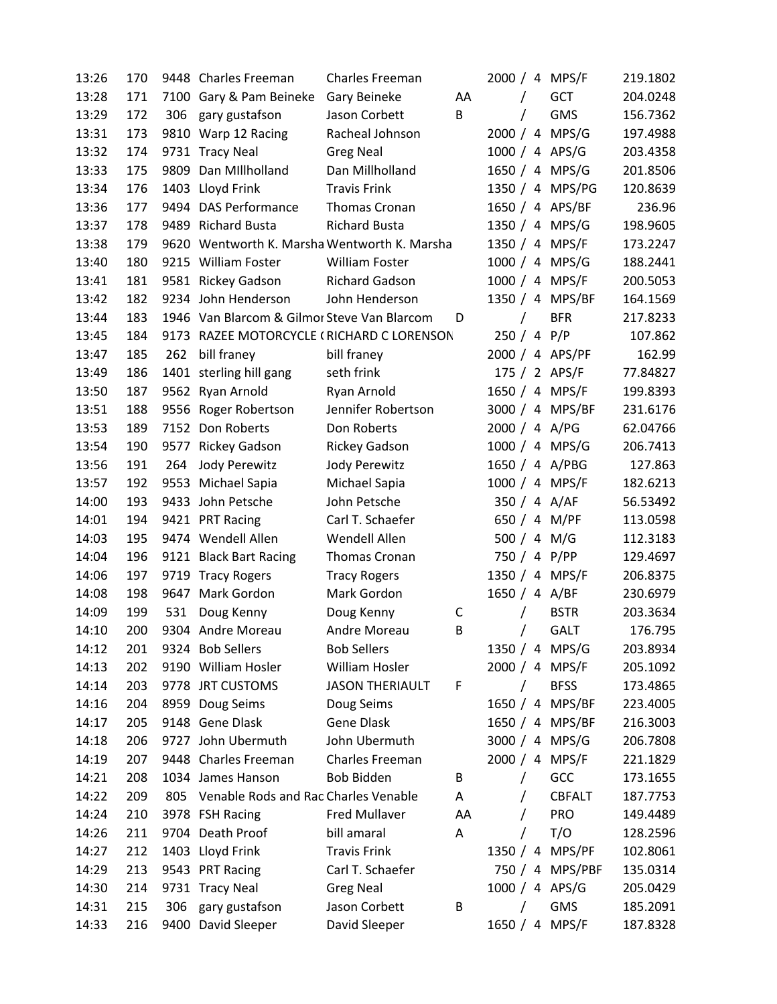| 13:26 | 170 |      | 9448 Charles Freeman                         | <b>Charles Freeman</b> |    |               | 2000 / 4 MPS/F  | 219.1802 |
|-------|-----|------|----------------------------------------------|------------------------|----|---------------|-----------------|----------|
| 13:28 | 171 |      | 7100 Gary & Pam Beineke                      | Gary Beineke           | AA | $\sqrt{2}$    | <b>GCT</b>      | 204.0248 |
| 13:29 | 172 | 306  | gary gustafson                               | Jason Corbett          | B  | $\prime$      | <b>GMS</b>      | 156.7362 |
| 13:31 | 173 |      | 9810 Warp 12 Racing                          | Racheal Johnson        |    |               | 2000 / 4 MPS/G  | 197.4988 |
| 13:32 | 174 |      | 9731 Tracy Neal                              | <b>Greg Neal</b>       |    |               | 1000 / 4 APS/G  | 203.4358 |
| 13:33 | 175 |      | 9809 Dan Millholland                         | Dan Millholland        |    |               | 1650 / 4 MPS/G  | 201.8506 |
| 13:34 | 176 |      | 1403 Lloyd Frink                             | <b>Travis Frink</b>    |    |               | 1350 / 4 MPS/PG | 120.8639 |
| 13:36 | 177 |      | 9494 DAS Performance                         | Thomas Cronan          |    |               | 1650 / 4 APS/BF | 236.96   |
| 13:37 | 178 |      | 9489 Richard Busta                           | <b>Richard Busta</b>   |    |               | 1350 / 4 MPS/G  | 198.9605 |
| 13:38 | 179 |      | 9620 Wentworth K. Marsha Wentworth K. Marsha |                        |    |               | 1350 / 4 MPS/F  | 173.2247 |
| 13:40 | 180 |      | 9215 William Foster                          | <b>William Foster</b>  |    |               | 1000 / 4 MPS/G  | 188.2441 |
| 13:41 | 181 |      | 9581 Rickey Gadson                           | <b>Richard Gadson</b>  |    |               | 1000 / 4 MPS/F  | 200.5053 |
| 13:42 | 182 |      | 9234 John Henderson                          | John Henderson         |    |               | 1350 / 4 MPS/BF | 164.1569 |
| 13:44 | 183 |      | 1946 Van Blarcom & Gilmor Steve Van Blarcom  |                        | D  |               | <b>BFR</b>      | 217.8233 |
| 13:45 | 184 |      | 9173 RAZEE MOTORCYCLE (RICHARD C LORENSON    |                        |    | 250 / 4 P/P   |                 | 107.862  |
| 13:47 | 185 | 262  | bill franey                                  | bill franey            |    |               | 2000 / 4 APS/PF | 162.99   |
| 13:49 | 186 |      | 1401 sterling hill gang                      | seth frink             |    |               | 175 / 2 APS/F   | 77.84827 |
| 13:50 | 187 |      | 9562 Ryan Arnold                             | Ryan Arnold            |    |               | 1650 / 4 MPS/F  | 199.8393 |
| 13:51 | 188 |      | 9556 Roger Robertson                         | Jennifer Robertson     |    |               | 3000 / 4 MPS/BF | 231.6176 |
| 13:53 | 189 |      | 7152 Don Roberts                             | Don Roberts            |    | 2000 / 4 A/PG |                 | 62.04766 |
| 13:54 | 190 | 9577 | <b>Rickey Gadson</b>                         | <b>Rickey Gadson</b>   |    |               | 1000 / 4 MPS/G  | 206.7413 |
| 13:56 | 191 | 264  | Jody Perewitz                                | Jody Perewitz          |    |               | 1650 / 4 A/PBG  | 127.863  |
| 13:57 | 192 |      | 9553 Michael Sapia                           | Michael Sapia          |    |               | 1000 / 4 MPS/F  | 182.6213 |
| 14:00 | 193 |      | 9433 John Petsche                            | John Petsche           |    |               | 350 / 4 A/AF    | 56.53492 |
| 14:01 | 194 |      | 9421 PRT Racing                              | Carl T. Schaefer       |    |               | 650 / 4 M/PF    | 113.0598 |
| 14:03 | 195 |      | 9474 Wendell Allen                           | Wendell Allen          |    | 500 / 4 M/G   |                 | 112.3183 |
| 14:04 | 196 |      | 9121 Black Bart Racing                       | Thomas Cronan          |    |               | 750 / 4 P/PP    | 129.4697 |
| 14:06 | 197 |      | 9719 Tracy Rogers                            | <b>Tracy Rogers</b>    |    |               | 1350 / 4 MPS/F  | 206.8375 |
| 14:08 | 198 | 9647 | Mark Gordon                                  | Mark Gordon            |    | 1650 / 4 A/BF |                 | 230.6979 |
| 14:09 | 199 | 531  | Doug Kenny                                   | Doug Kenny             | С  | $\prime$      | <b>BSTR</b>     | 203.3634 |
| 14:10 | 200 |      | 9304 Andre Moreau                            | Andre Moreau           | В  | T             | <b>GALT</b>     | 176.795  |
| 14:12 | 201 |      | 9324 Bob Sellers                             | <b>Bob Sellers</b>     |    |               | 1350 / 4 MPS/G  | 203.8934 |
| 14:13 | 202 |      | 9190 William Hosler                          | William Hosler         |    |               | 2000 / 4 MPS/F  | 205.1092 |
| 14:14 | 203 |      | 9778 JRT CUSTOMS                             | <b>JASON THERIAULT</b> | F  | $\prime$      | <b>BFSS</b>     | 173.4865 |
| 14:16 | 204 |      | 8959 Doug Seims                              | Doug Seims             |    |               | 1650 / 4 MPS/BF | 223.4005 |
| 14:17 | 205 |      | 9148 Gene Dlask                              | <b>Gene Dlask</b>      |    |               | 1650 / 4 MPS/BF | 216.3003 |
| 14:18 | 206 |      | 9727 John Ubermuth                           | John Ubermuth          |    |               | 3000 / 4 MPS/G  | 206.7808 |
| 14:19 | 207 |      | 9448 Charles Freeman                         | Charles Freeman        |    |               | 2000 / 4 MPS/F  | 221.1829 |
| 14:21 | 208 |      | 1034 James Hanson                            | <b>Bob Bidden</b>      | B  | T             | GCC             | 173.1655 |
| 14:22 | 209 | 805  | Venable Rods and Rac Charles Venable         |                        | Α  |               | <b>CBFALT</b>   | 187.7753 |
| 14:24 | 210 |      | 3978 FSH Racing                              | <b>Fred Mullaver</b>   | AA |               | PRO             | 149.4489 |
| 14:26 | 211 |      | 9704 Death Proof                             | bill amaral            | Α  |               | T/O             | 128.2596 |
| 14:27 | 212 |      | 1403 Lloyd Frink                             | <b>Travis Frink</b>    |    |               | 1350 / 4 MPS/PF | 102.8061 |
| 14:29 | 213 |      | 9543 PRT Racing                              | Carl T. Schaefer       |    |               | 750 / 4 MPS/PBF | 135.0314 |
| 14:30 | 214 |      | 9731 Tracy Neal                              | <b>Greg Neal</b>       |    |               | 1000 / 4 APS/G  | 205.0429 |
| 14:31 | 215 | 306  | gary gustafson                               | Jason Corbett          | B  | $\prime$      | <b>GMS</b>      | 185.2091 |
| 14:33 | 216 |      | 9400 David Sleeper                           | David Sleeper          |    |               | 1650 / 4 MPS/F  | 187.8328 |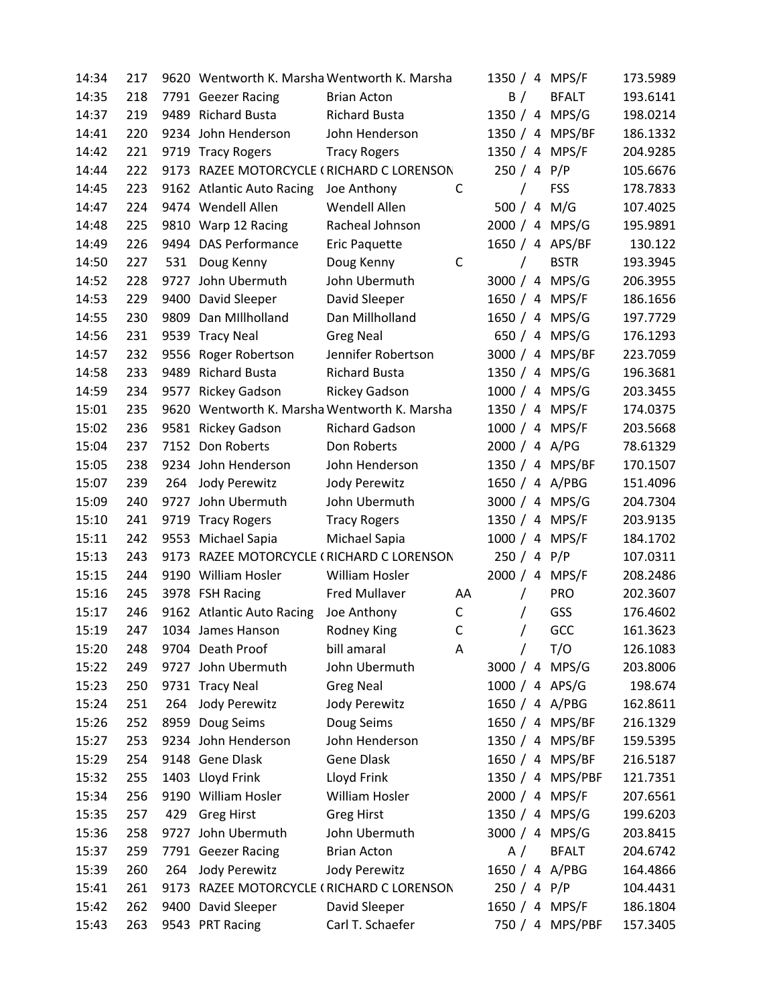| 14:34 | 217 |      |                           | 9620 Wentworth K. Marsha Wentworth K. Marsha |    |               | 1350 / 4 MPS/F   | 173.5989 |
|-------|-----|------|---------------------------|----------------------------------------------|----|---------------|------------------|----------|
| 14:35 | 218 |      | 7791 Geezer Racing        | <b>Brian Acton</b>                           |    | B /           | <b>BFALT</b>     | 193.6141 |
| 14:37 | 219 |      | 9489 Richard Busta        | <b>Richard Busta</b>                         |    |               | 1350 / 4 MPS/G   | 198.0214 |
| 14:41 | 220 |      | 9234 John Henderson       | John Henderson                               |    |               | 1350 / 4 MPS/BF  | 186.1332 |
| 14:42 | 221 |      | 9719 Tracy Rogers         | <b>Tracy Rogers</b>                          |    |               | 1350 / 4 MPS/F   | 204.9285 |
| 14:44 | 222 |      |                           | 9173 RAZEE MOTORCYCLE (RICHARD C LORENSON    |    | 250 / 4 P/P   |                  | 105.6676 |
| 14:45 | 223 |      | 9162 Atlantic Auto Racing | Joe Anthony                                  | C  |               | <b>FSS</b>       | 178.7833 |
| 14:47 | 224 |      | 9474 Wendell Allen        | Wendell Allen                                |    |               | 500 / 4 M/G      | 107.4025 |
| 14:48 | 225 |      | 9810 Warp 12 Racing       | Racheal Johnson                              |    |               | 2000 / 4 MPS/G   | 195.9891 |
| 14:49 | 226 |      | 9494 DAS Performance      | Eric Paquette                                |    |               | 1650 / 4 APS/BF  | 130.122  |
| 14:50 | 227 | 531  | Doug Kenny                | Doug Kenny                                   | C  | $\sqrt{2}$    | <b>BSTR</b>      | 193.3945 |
| 14:52 | 228 | 9727 | John Ubermuth             | John Ubermuth                                |    |               | 3000 / 4 MPS/G   | 206.3955 |
| 14:53 | 229 |      | 9400 David Sleeper        | David Sleeper                                |    |               | 1650 / 4 MPS/F   | 186.1656 |
| 14:55 | 230 | 9809 | Dan Millholland           | Dan Millholland                              |    |               | 1650 / 4 MPS/G   | 197.7729 |
| 14:56 | 231 |      | 9539 Tracy Neal           | <b>Greg Neal</b>                             |    |               | 650 / 4 MPS/G    | 176.1293 |
| 14:57 | 232 | 9556 | Roger Robertson           | Jennifer Robertson                           |    |               | 3000 / 4 MPS/BF  | 223.7059 |
| 14:58 | 233 | 9489 | <b>Richard Busta</b>      | <b>Richard Busta</b>                         |    |               | 1350 / 4 MPS/G   | 196.3681 |
| 14:59 | 234 | 9577 | <b>Rickey Gadson</b>      | <b>Rickey Gadson</b>                         |    |               | 1000 / 4 MPS/G   | 203.3455 |
| 15:01 | 235 |      |                           | 9620 Wentworth K. Marsha Wentworth K. Marsha |    |               | 1350 / 4 MPS/F   | 174.0375 |
| 15:02 | 236 |      | 9581 Rickey Gadson        | <b>Richard Gadson</b>                        |    |               | 1000 / 4 MPS/F   | 203.5668 |
| 15:04 | 237 |      | 7152 Don Roberts          | Don Roberts                                  |    | 2000 / 4 A/PG |                  | 78.61329 |
| 15:05 | 238 |      | 9234 John Henderson       | John Henderson                               |    |               | 1350 / 4 MPS/BF  | 170.1507 |
| 15:07 | 239 | 264  | Jody Perewitz             | Jody Perewitz                                |    |               | 1650 / 4 A/PBG   | 151.4096 |
| 15:09 | 240 | 9727 | John Ubermuth             | John Ubermuth                                |    |               | 3000 / 4 MPS/G   | 204.7304 |
| 15:10 | 241 |      | 9719 Tracy Rogers         | <b>Tracy Rogers</b>                          |    |               | 1350 / 4 MPS/F   | 203.9135 |
| 15:11 | 242 |      | 9553 Michael Sapia        | Michael Sapia                                |    |               | 1000 / 4 MPS/F   | 184.1702 |
| 15:13 | 243 |      |                           | 9173 RAZEE MOTORCYCLE (RICHARD C LORENSON    |    | 250 / 4 P/P   |                  | 107.0311 |
| 15:15 | 244 |      | 9190 William Hosler       | William Hosler                               |    |               | 2000 / 4 MPS/F   | 208.2486 |
| 15:16 | 245 |      | 3978 FSH Racing           | Fred Mullaver                                | AA | $\sqrt{2}$    | <b>PRO</b>       | 202.3607 |
| 15:17 | 246 |      | 9162 Atlantic Auto Racing | Joe Anthony                                  | C  | $\prime$      | GSS              | 176.4602 |
| 15:19 | 247 |      | 1034 James Hanson         | Rodney King                                  | C  | T             | GCC              | 161.3623 |
| 15:20 | 248 |      | 9704 Death Proof          | bill amaral                                  | A  | $\sqrt{2}$    | T/O              | 126.1083 |
| 15:22 | 249 |      | 9727 John Ubermuth        | John Ubermuth                                |    |               | 3000 / 4 MPS/G   | 203.8006 |
| 15:23 | 250 |      | 9731 Tracy Neal           | <b>Greg Neal</b>                             |    |               | 1000 / 4 APS/G   | 198.674  |
| 15:24 | 251 | 264  | Jody Perewitz             | Jody Perewitz                                |    |               | 1650 / 4 A/PBG   | 162.8611 |
| 15:26 | 252 | 8959 | Doug Seims                | Doug Seims                                   |    |               | 1650 / 4 MPS/BF  | 216.1329 |
| 15:27 | 253 |      | 9234 John Henderson       | John Henderson                               |    |               | 1350 / 4 MPS/BF  | 159.5395 |
| 15:29 | 254 |      | 9148 Gene Dlask           | <b>Gene Dlask</b>                            |    |               | 1650 / 4 MPS/BF  | 216.5187 |
| 15:32 | 255 |      | 1403 Lloyd Frink          | Lloyd Frink                                  |    |               | 1350 / 4 MPS/PBF | 121.7351 |
| 15:34 | 256 |      | 9190 William Hosler       | William Hosler                               |    |               | 2000 / 4 MPS/F   | 207.6561 |
| 15:35 | 257 | 429  | <b>Greg Hirst</b>         | <b>Greg Hirst</b>                            |    |               | 1350 / 4 MPS/G   | 199.6203 |
| 15:36 | 258 |      | 9727 John Ubermuth        | John Ubermuth                                |    |               | 3000 / 4 MPS/G   | 203.8415 |
| 15:37 | 259 |      | 7791 Geezer Racing        | <b>Brian Acton</b>                           |    | A /           | <b>BFALT</b>     | 204.6742 |
| 15:39 | 260 | 264  | Jody Perewitz             | Jody Perewitz                                |    |               | 1650 / 4 A/PBG   | 164.4866 |
| 15:41 | 261 |      |                           | 9173 RAZEE MOTORCYCLE (RICHARD C LORENSON    |    | 250 / 4 P/P   |                  | 104.4431 |
| 15:42 | 262 |      | 9400 David Sleeper        | David Sleeper                                |    |               | 1650 / 4 MPS/F   | 186.1804 |
| 15:43 | 263 |      | 9543 PRT Racing           | Carl T. Schaefer                             |    |               | 750 / 4 MPS/PBF  | 157.3405 |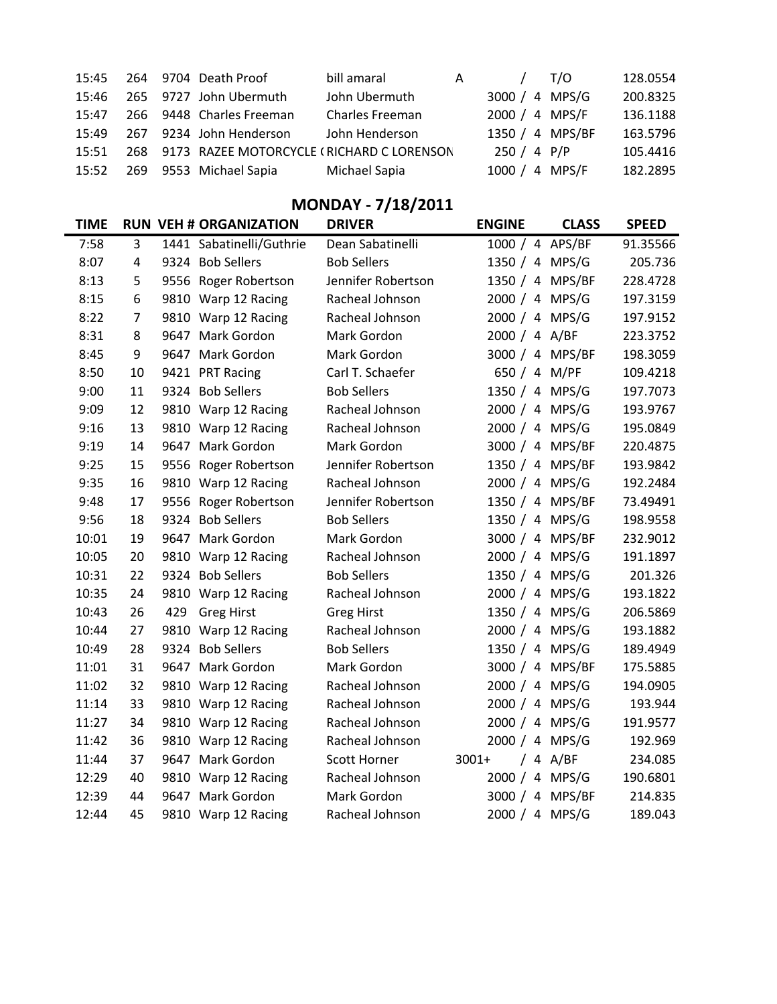|  | 15:45 264 9704 Death Proof                          | bill amaral     | A / T/O         | 128.0554 |
|--|-----------------------------------------------------|-----------------|-----------------|----------|
|  | 15:46 265 9727 John Ubermuth                        | John Ubermuth   | 3000 / 4 MPS/G  | 200.8325 |
|  | 15:47 266 9448 Charles Freeman                      | Charles Freeman | 2000 / 4 MPS/F  | 136.1188 |
|  | 15:49 267 9234 John Henderson                       | John Henderson  | 1350 / 4 MPS/BF | 163.5796 |
|  | 15:51 268 9173 RAZEE MOTORCYCLE (RICHARD C LORENSON |                 | 250 / 4 P/P     | 105.4416 |
|  | 15:52 269 9553 Michael Sapia                        | Michael Sapia   | 1000 / 4 MPS/F  | 182.2895 |

### MONDAY - 7/18/2011

| <b>TIME</b> |    |      | <b>RUN VEH # ORGANIZATION</b> | <b>DRIVER</b>       | <b>ENGINE</b>   | <b>CLASS</b> | <b>SPEED</b> |
|-------------|----|------|-------------------------------|---------------------|-----------------|--------------|--------------|
| 7:58        | 3  |      | 1441 Sabatinelli/Guthrie      | Dean Sabatinelli    | 1000 / 4 APS/BF |              | 91.35566     |
| 8:07        | 4  |      | 9324 Bob Sellers              | <b>Bob Sellers</b>  | 1350 / 4 MPS/G  |              | 205.736      |
| 8:13        | 5  |      | 9556 Roger Robertson          | Jennifer Robertson  | 1350 / 4 MPS/BF |              | 228.4728     |
| 8:15        | 6  |      | 9810 Warp 12 Racing           | Racheal Johnson     | 2000 / 4 MPS/G  |              | 197.3159     |
| 8:22        | 7  |      | 9810 Warp 12 Racing           | Racheal Johnson     | 2000 / 4 MPS/G  |              | 197.9152     |
| 8:31        | 8  |      | 9647 Mark Gordon              | Mark Gordon         | 2000 / 4 A/BF   |              | 223.3752     |
| 8:45        | 9  |      | 9647 Mark Gordon              | Mark Gordon         | 3000 / 4 MPS/BF |              | 198.3059     |
| 8:50        | 10 |      | 9421 PRT Racing               | Carl T. Schaefer    | 650 / 4 M/PF    |              | 109.4218     |
| 9:00        | 11 |      | 9324 Bob Sellers              | <b>Bob Sellers</b>  | 1350 / 4 MPS/G  |              | 197.7073     |
| 9:09        | 12 |      | 9810 Warp 12 Racing           | Racheal Johnson     | 2000 / 4 MPS/G  |              | 193.9767     |
| 9:16        | 13 |      | 9810 Warp 12 Racing           | Racheal Johnson     | 2000 / 4 MPS/G  |              | 195.0849     |
| 9:19        | 14 | 9647 | Mark Gordon                   | Mark Gordon         | 3000 / 4 MPS/BF |              | 220.4875     |
| 9:25        | 15 |      | 9556 Roger Robertson          | Jennifer Robertson  | 1350 / 4 MPS/BF |              | 193.9842     |
| 9:35        | 16 |      | 9810 Warp 12 Racing           | Racheal Johnson     | 2000 / 4 MPS/G  |              | 192.2484     |
| 9:48        | 17 |      | 9556 Roger Robertson          | Jennifer Robertson  | 1350 / 4 MPS/BF |              | 73.49491     |
| 9:56        | 18 | 9324 | <b>Bob Sellers</b>            | <b>Bob Sellers</b>  | 1350 / 4 MPS/G  |              | 198.9558     |
| 10:01       | 19 |      | 9647 Mark Gordon              | Mark Gordon         | 3000 / 4 MPS/BF |              | 232.9012     |
| 10:05       | 20 |      | 9810 Warp 12 Racing           | Racheal Johnson     | 2000 / 4 MPS/G  |              | 191.1897     |
| 10:31       | 22 |      | 9324 Bob Sellers              | <b>Bob Sellers</b>  | 1350 / 4 MPS/G  |              | 201.326      |
| 10:35       | 24 |      | 9810 Warp 12 Racing           | Racheal Johnson     | 2000 / 4 MPS/G  |              | 193.1822     |
| 10:43       | 26 | 429  | <b>Greg Hirst</b>             | <b>Greg Hirst</b>   | 1350 / 4 MPS/G  |              | 206.5869     |
| 10:44       | 27 |      | 9810 Warp 12 Racing           | Racheal Johnson     | 2000 / 4 MPS/G  |              | 193.1882     |
| 10:49       | 28 | 9324 | <b>Bob Sellers</b>            | <b>Bob Sellers</b>  | 1350 / 4 MPS/G  |              | 189.4949     |
| 11:01       | 31 |      | 9647 Mark Gordon              | Mark Gordon         | 3000 / 4 MPS/BF |              | 175.5885     |
| 11:02       | 32 |      | 9810 Warp 12 Racing           | Racheal Johnson     | 2000 / 4 MPS/G  |              | 194.0905     |
| 11:14       | 33 |      | 9810 Warp 12 Racing           | Racheal Johnson     | 2000 / 4 MPS/G  |              | 193.944      |
| 11:27       | 34 |      | 9810 Warp 12 Racing           | Racheal Johnson     | 2000 / 4 MPS/G  |              | 191.9577     |
| 11:42       | 36 |      | 9810 Warp 12 Racing           | Racheal Johnson     | 2000 / 4 MPS/G  |              | 192.969      |
| 11:44       | 37 |      | 9647 Mark Gordon              | <b>Scott Horner</b> | $3001+$         | $/4$ A/BF    | 234.085      |
| 12:29       | 40 |      | 9810 Warp 12 Racing           | Racheal Johnson     | 2000 / 4 MPS/G  |              | 190.6801     |
| 12:39       | 44 | 9647 | Mark Gordon                   | Mark Gordon         | 3000 / 4 MPS/BF |              | 214.835      |
| 12:44       | 45 |      | 9810 Warp 12 Racing           | Racheal Johnson     | 2000 / 4 MPS/G  |              | 189.043      |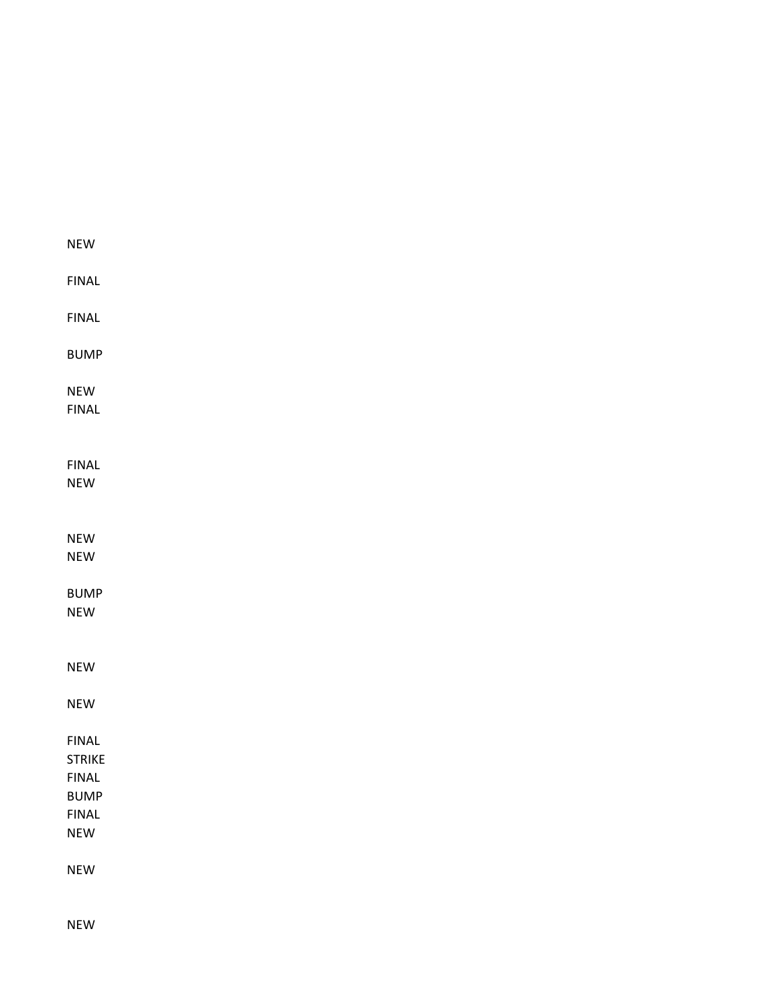| <b>NEW</b>    |  |  |  |
|---------------|--|--|--|
|               |  |  |  |
| <b>FINAL</b>  |  |  |  |
|               |  |  |  |
| <b>FINAL</b>  |  |  |  |
| <b>BUMP</b>   |  |  |  |
|               |  |  |  |
| <b>NEW</b>    |  |  |  |
| <b>FINAL</b>  |  |  |  |
|               |  |  |  |
|               |  |  |  |
| <b>FINAL</b>  |  |  |  |
| NEW           |  |  |  |
|               |  |  |  |
| <b>NEW</b>    |  |  |  |
| <b>NEW</b>    |  |  |  |
|               |  |  |  |
| <b>BUMP</b>   |  |  |  |
| NEW           |  |  |  |
|               |  |  |  |
| <b>NEW</b>    |  |  |  |
|               |  |  |  |
| <b>NEW</b>    |  |  |  |
| <b>FINAL</b>  |  |  |  |
| <b>STRIKE</b> |  |  |  |
| <b>FINAL</b>  |  |  |  |
| <b>BUMP</b>   |  |  |  |
| <b>FINAL</b>  |  |  |  |
| <b>NEW</b>    |  |  |  |
|               |  |  |  |
| <b>NEW</b>    |  |  |  |
|               |  |  |  |

NEW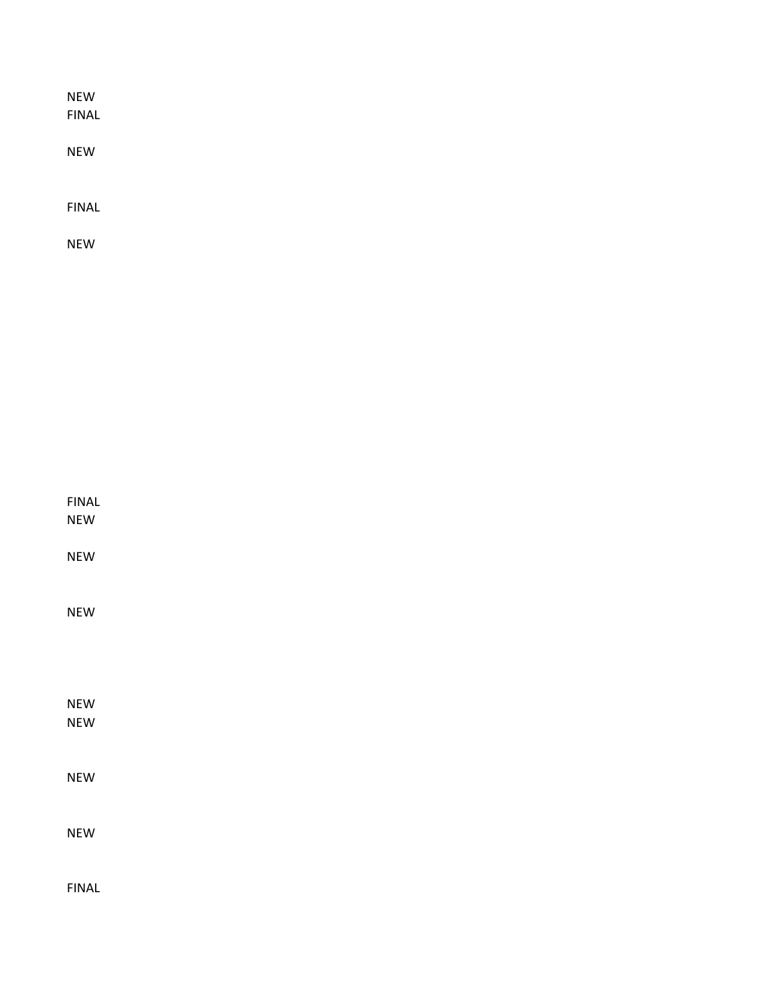| <b>NEW</b><br><b>FINAL</b> |  |  |  |
|----------------------------|--|--|--|
| <b>NEW</b>                 |  |  |  |
| <b>FINAL</b>               |  |  |  |
| <b>NEW</b>                 |  |  |  |

| <b>FINAL</b><br><b>NEW</b> |  |  |  |
|----------------------------|--|--|--|
| <b>NEW</b>                 |  |  |  |
| <b>NEW</b>                 |  |  |  |
|                            |  |  |  |
| <b>NEW</b><br><b>NEW</b>   |  |  |  |
| <b>NEW</b>                 |  |  |  |
| <b>NEW</b>                 |  |  |  |
| <b>FINAL</b>               |  |  |  |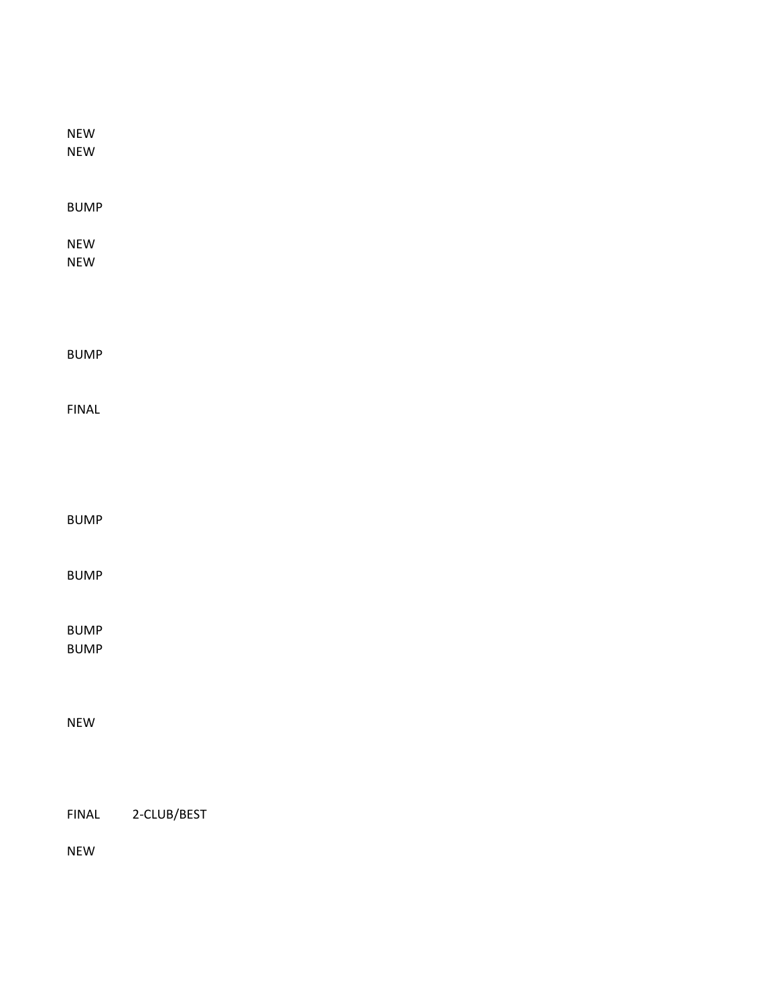| ${\sf NEW}$<br>${\sf NEW}$ |             |
|----------------------------|-------------|
| <b>BUMP</b>                |             |
| ${\sf NEW}$<br>${\sf NEW}$ |             |
|                            |             |
| <b>BUMP</b>                |             |
| <b>FINAL</b>               |             |
|                            |             |
| <b>BUMP</b>                |             |
| <b>BUMP</b>                |             |
| <b>BUMP</b><br><b>BUMP</b> |             |
| ${\sf NEW}$                |             |
|                            |             |
| <b>FINAL</b>               | 2-CLUB/BEST |

NEW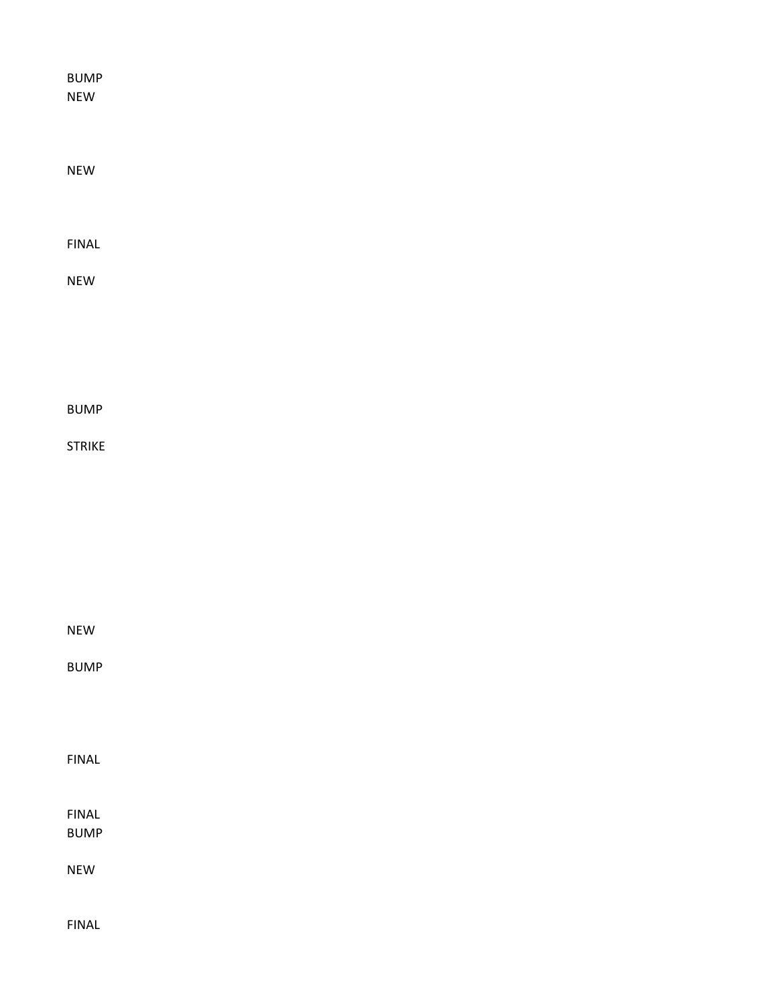| <b>BUMP</b><br><b>NEW</b>    |  |  |  |  |
|------------------------------|--|--|--|--|
|                              |  |  |  |  |
| NEW                          |  |  |  |  |
| ${\sf FINAL}$                |  |  |  |  |
| NEW                          |  |  |  |  |
|                              |  |  |  |  |
|                              |  |  |  |  |
| <b>BUMP</b>                  |  |  |  |  |
| <b>STRIKE</b>                |  |  |  |  |
|                              |  |  |  |  |
|                              |  |  |  |  |
|                              |  |  |  |  |
| <b>NEW</b>                   |  |  |  |  |
| <b>BUMP</b>                  |  |  |  |  |
|                              |  |  |  |  |
| ${\sf FINAL}$                |  |  |  |  |
| ${\sf FINAL}$<br><b>BUMP</b> |  |  |  |  |
| <b>NEW</b>                   |  |  |  |  |
| <b>FINAL</b>                 |  |  |  |  |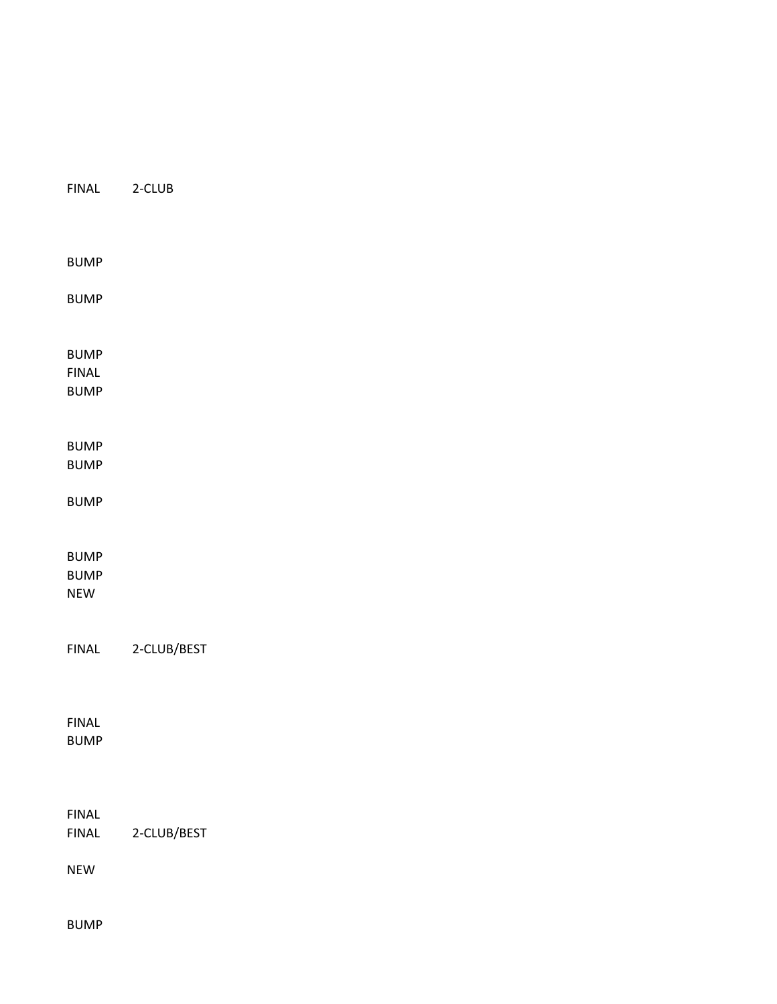| FINAL                        | $2$ -CLUB   |
|------------------------------|-------------|
|                              |             |
| <b>BUMP</b>                  |             |
| <b>BUMP</b>                  |             |
| <b>BUMP</b>                  |             |
| <b>FINAL</b>                 |             |
| <b>BUMP</b>                  |             |
| <b>BUMP</b>                  |             |
| <b>BUMP</b>                  |             |
| <b>BUMP</b>                  |             |
| <b>BUMP</b>                  |             |
| <b>BUMP</b>                  |             |
| <b>NEW</b>                   |             |
|                              |             |
| ${\sf FINAL}$                | 2-CLUB/BEST |
|                              |             |
|                              |             |
| <b>FINAL</b>                 |             |
| <b>BUMP</b>                  |             |
|                              |             |
|                              |             |
| <b>FINAL</b><br><b>FINAL</b> | 2-CLUB/BEST |
|                              |             |
| <b>NEW</b>                   |             |
|                              |             |

BUMP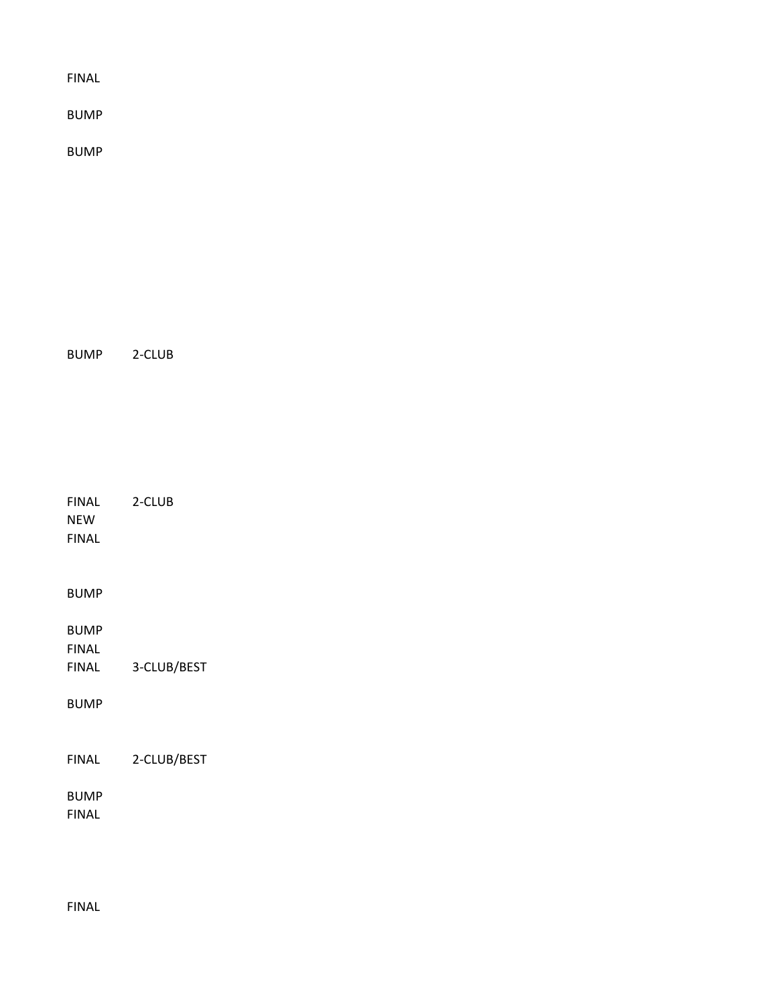BUMP

BUMP

BUMP 2-CLUB

FINAL 2-CLUB NEW FINAL

BUMP

BUMP

FINAL

FINAL 3-CLUB/BEST

BUMP

FINAL 2-CLUB/BEST

BUMP

FINAL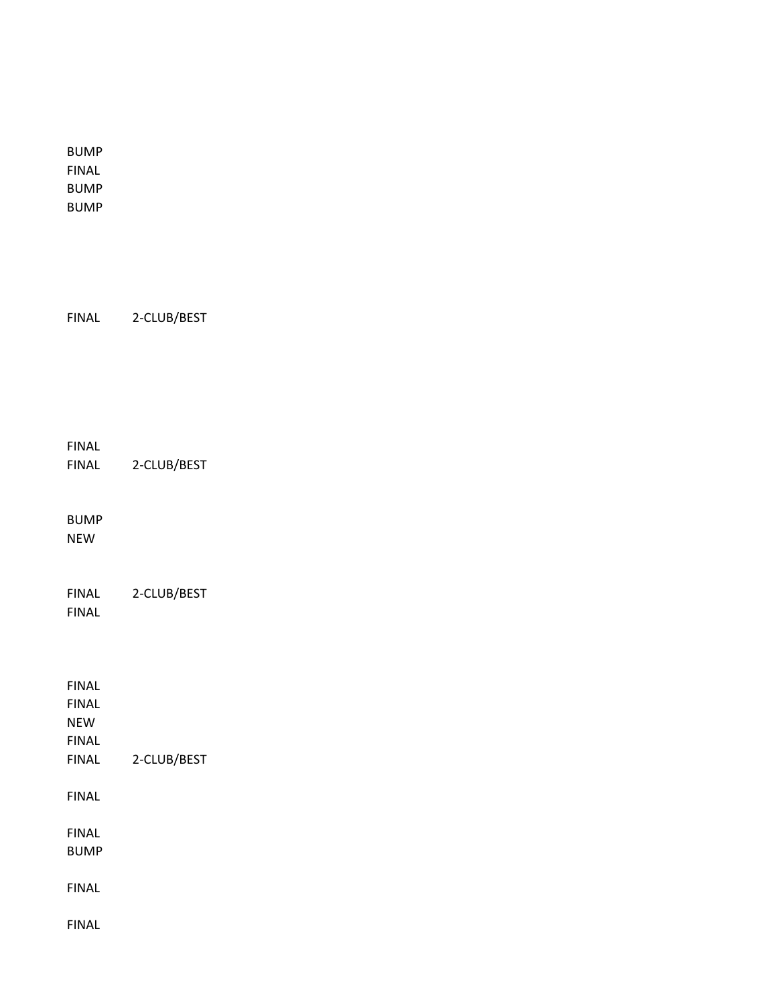BUMP FINAL BUMP BUMP

FINAL 2-CLUB/BEST

FINAL

FINAL 2-CLUB/BEST

BUMP NEW

FINAL 2-CLUB/BEST FINAL

FINAL FINAL NEW FINAL FINAL 2-CLUB/BEST FINAL FINAL BUMP FINAL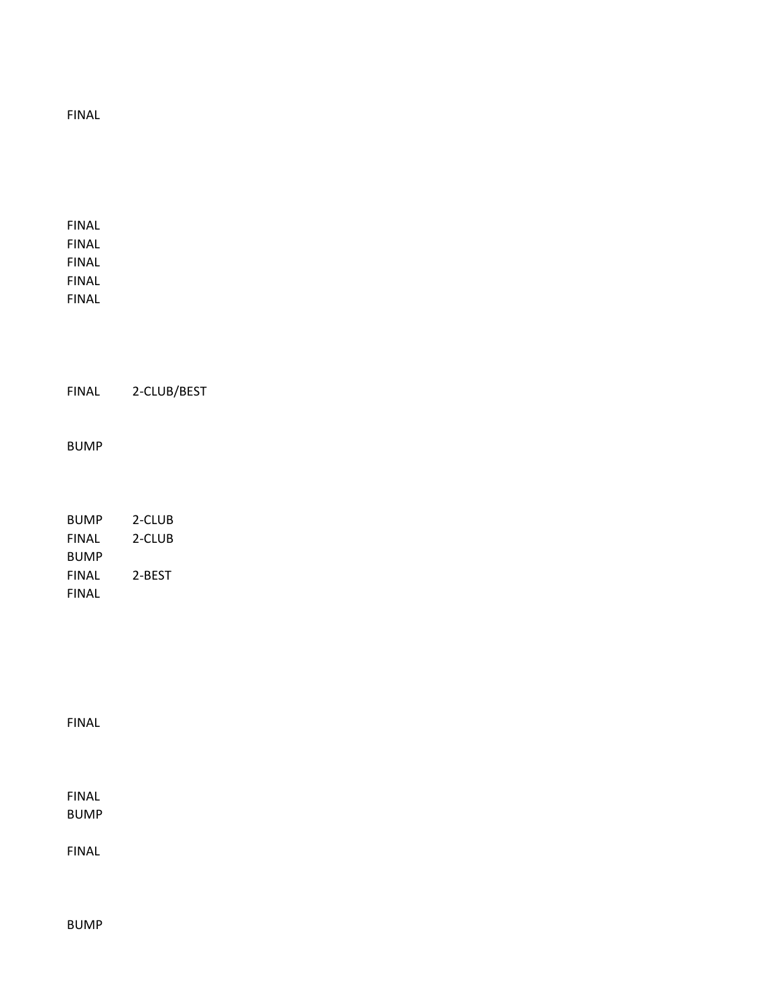FINAL FINAL FINAL FINAL FINAL FINAL 2-CLUB/BEST BUMP BUMP 2-CLUB FINAL 2-CLUB BUMP FINAL 2-BEST FINAL

FINAL

FINAL

BUMP

FINAL

BUMP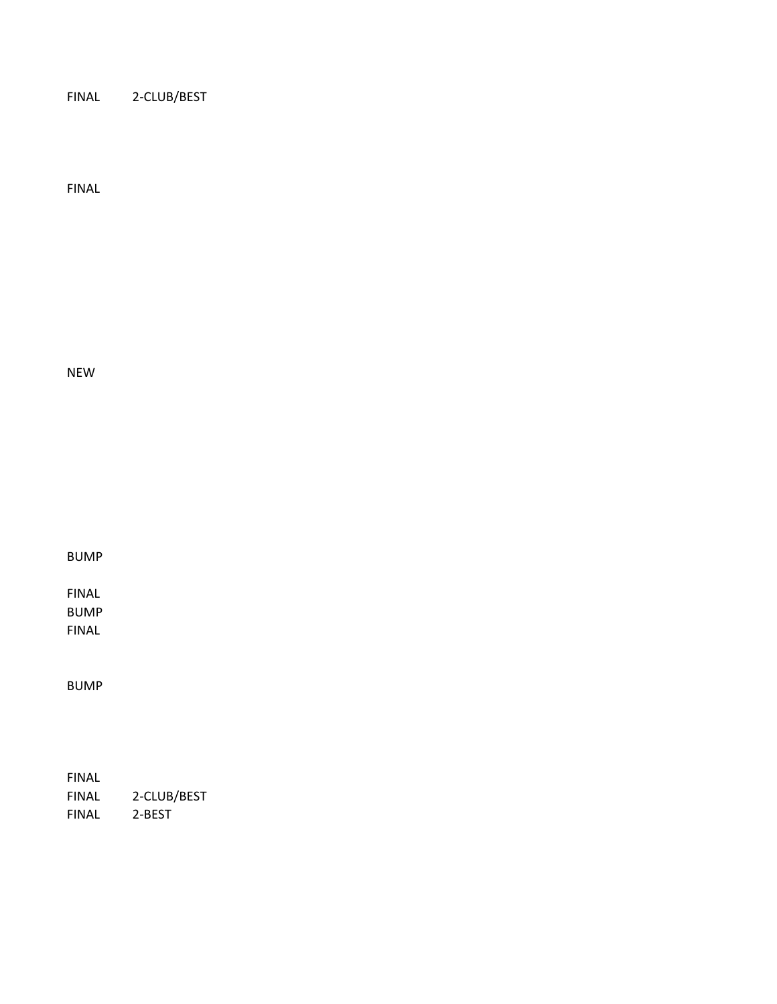FINAL 2-CLUB/BEST

FINAL

NEW

BUMP

FINAL BUMP FINAL

BUMP

FINAL FINAL 2-CLUB/BEST FINAL 2-BEST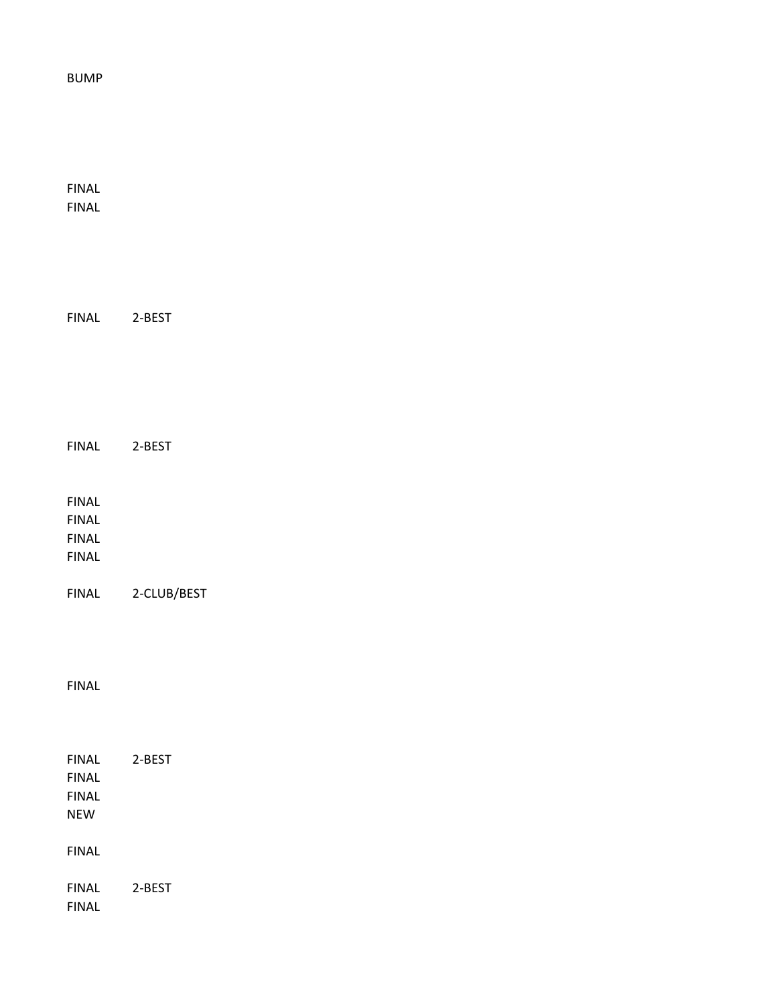#### BUMP

FINAL FINAL

| <b>FINAL</b>                                                 | 2-BEST      |
|--------------------------------------------------------------|-------------|
| <b>FINAL</b><br><b>FINAL</b><br><b>FINAL</b><br><b>FINAL</b> |             |
| <b>FINAL</b>                                                 | 2-CLUB/BEST |

FINAL 2-BEST

### FINAL

| FINAL | 2-BEST |
|-------|--------|
| FINAL |        |
| FINAL |        |
| NFW   |        |
|       |        |
| FINAL |        |
|       |        |
| FINAL | 2-BEST |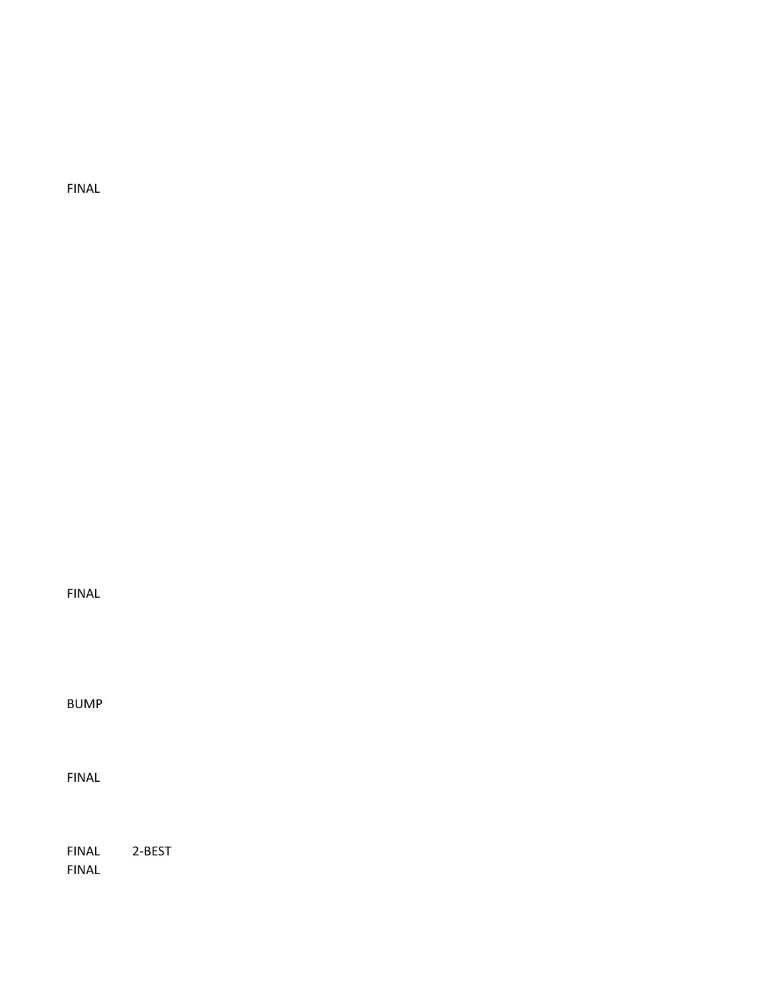FINAL

BUMP

FINAL

FINAL 2-BEST FINAL